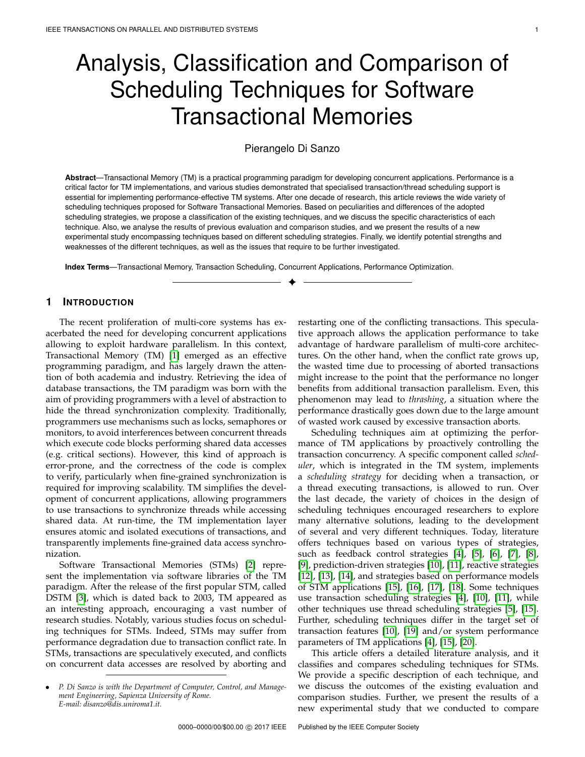# Analysis, Classification and Comparison of Scheduling Techniques for Software Transactional Memories

# Pierangelo Di Sanzo

**Abstract**—Transactional Memory (TM) is a practical programming paradigm for developing concurrent applications. Performance is a critical factor for TM implementations, and various studies demonstrated that specialised transaction/thread scheduling support is essential for implementing performance-effective TM systems. After one decade of research, this article reviews the wide variety of scheduling techniques proposed for Software Transactional Memories. Based on peculiarities and differences of the adopted scheduling strategies, we propose a classification of the existing techniques, and we discuss the specific characteristics of each technique. Also, we analyse the results of previous evaluation and comparison studies, and we present the results of a new experimental study encompassing techniques based on different scheduling strategies. Finally, we identify potential strengths and weaknesses of the different techniques, as well as the issues that require to be further investigated.

✦

**Index Terms**—Transactional Memory, Transaction Scheduling, Concurrent Applications, Performance Optimization.

# **1 INTRODUCTION**

The recent proliferation of multi-core systems has exacerbated the need for developing concurrent applications allowing to exploit hardware parallelism. In this context, Transactional Memory (TM) [\[1\]](#page-16-0) emerged as an effective programming paradigm, and has largely drawn the attention of both academia and industry. Retrieving the idea of database transactions, the TM paradigm was born with the aim of providing programmers with a level of abstraction to hide the thread synchronization complexity. Traditionally, programmers use mechanisms such as locks, semaphores or monitors, to avoid interferences between concurrent threads which execute code blocks performing shared data accesses (e.g. critical sections). However, this kind of approach is error-prone, and the correctness of the code is complex to verify, particularly when fine-grained synchronization is required for improving scalability. TM simplifies the development of concurrent applications, allowing programmers to use transactions to synchronize threads while accessing shared data. At run-time, the TM implementation layer ensures atomic and isolated executions of transactions, and transparently implements fine-grained data access synchronization.

Software Transactional Memories (STMs) [\[2\]](#page-16-1) represent the implementation via software libraries of the TM paradigm. After the release of the first popular STM, called DSTM [\[3\]](#page-16-2), which is dated back to 2003, TM appeared as an interesting approach, encouraging a vast number of research studies. Notably, various studies focus on scheduling techniques for STMs. Indeed, STMs may suffer from performance degradation due to transaction conflict rate. In STMs, transactions are speculatively executed, and conflicts on concurrent data accesses are resolved by aborting and

restarting one of the conflicting transactions. This speculative approach allows the application performance to take advantage of hardware parallelism of multi-core architectures. On the other hand, when the conflict rate grows up, the wasted time due to processing of aborted transactions might increase to the point that the performance no longer benefits from additional transaction parallelism. Even, this phenomenon may lead to *thrashing*, a situation where the performance drastically goes down due to the large amount of wasted work caused by excessive transaction aborts.

Scheduling techniques aim at optimizing the performance of TM applications by proactively controlling the transaction concurrency. A specific component called *scheduler*, which is integrated in the TM system, implements a *scheduling strategy* for deciding when a transaction, or a thread executing transactions, is allowed to run. Over the last decade, the variety of choices in the design of scheduling techniques encouraged researchers to explore many alternative solutions, leading to the development of several and very different techniques. Today, literature offers techniques based on various types of strategies, such as feedback control strategies [\[4\]](#page-16-3), [\[5\]](#page-16-4), [\[6\]](#page-16-5), [\[7\]](#page-16-6), [\[8\]](#page-16-7), [\[9\]](#page-16-8), prediction-driven strategies [\[10\]](#page-16-9), [\[11\]](#page-16-10), reactive strategies [\[12\]](#page-16-11), [\[13\]](#page-16-12), [\[14\]](#page-16-13), and strategies based on performance models of STM applications [\[15\]](#page-16-14), [\[16\]](#page-16-15), [\[17\]](#page-16-16), [\[18\]](#page-16-17). Some techniques use transaction scheduling strategies [\[4\]](#page-16-3), [\[10\]](#page-16-9), [\[11\]](#page-16-10), while other techniques use thread scheduling strategies [\[5\]](#page-16-4), [\[15\]](#page-16-14). Further, scheduling techniques differ in the target set of transaction features [\[10\]](#page-16-9), [\[19\]](#page-16-18) and/or system performance parameters of TM applications [\[4\]](#page-16-3), [\[15\]](#page-16-14), [\[20\]](#page-16-19).

This article offers a detailed literature analysis, and it classifies and compares scheduling techniques for STMs. We provide a specific description of each technique, and we discuss the outcomes of the existing evaluation and comparison studies. Further, we present the results of a new experimental study that we conducted to compare

<sup>•</sup> *P. Di Sanzo is with the Department of Computer, Control, and Management Engineering, Sapienza University of Rome. E-mail: disanzo@dis.uniroma1.it.*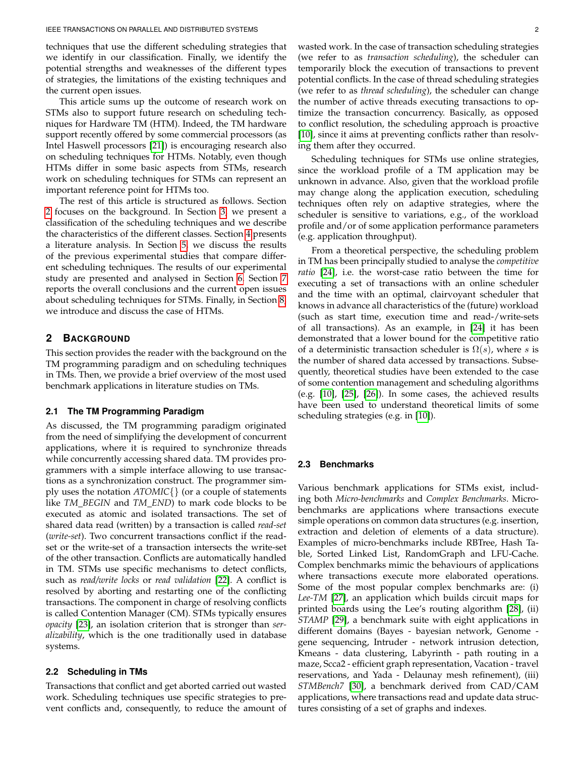techniques that use the different scheduling strategies that we identify in our classification. Finally, we identify the potential strengths and weaknesses of the different types of strategies, the limitations of the existing techniques and the current open issues.

This article sums up the outcome of research work on STMs also to support future research on scheduling techniques for Hardware TM (HTM). Indeed, the TM hardware support recently offered by some commercial processors (as Intel Haswell processors [\[21\]](#page-16-20)) is encouraging research also on scheduling techniques for HTMs. Notably, even though HTMs differ in some basic aspects from STMs, research work on scheduling techniques for STMs can represent an important reference point for HTMs too.

The rest of this article is structured as follows. Section [2](#page-1-0) focuses on the background. In Section [3,](#page-2-0) we present a classification of the scheduling techniques and we describe the characteristics of the different classes. Section [4](#page-3-0) presents a literature analysis. In Section [5,](#page-10-0) we discuss the results of the previous experimental studies that compare different scheduling techniques. The results of our experimental study are presented and analysed in Section [6.](#page-11-0) Section [7](#page-14-0) reports the overall conclusions and the current open issues about scheduling techniques for STMs. Finally, in Section [8,](#page-15-0) we introduce and discuss the case of HTMs.

# <span id="page-1-0"></span>**2 BACKGROUND**

This section provides the reader with the background on the TM programming paradigm and on scheduling techniques in TMs. Then, we provide a brief overview of the most used benchmark applications in literature studies on TMs.

### **2.1 The TM Programming Paradigm**

As discussed, the TM programming paradigm originated from the need of simplifying the development of concurrent applications, where it is required to synchronize threads while concurrently accessing shared data. TM provides programmers with a simple interface allowing to use transactions as a synchronization construct. The programmer simply uses the notation *ATOMIC*{} (or a couple of statements like *TM BEGIN* and *TM END*) to mark code blocks to be executed as atomic and isolated transactions. The set of shared data read (written) by a transaction is called *read-set* (*write-set*). Two concurrent transactions conflict if the readset or the write-set of a transaction intersects the write-set of the other transaction. Conflicts are automatically handled in TM. STMs use specific mechanisms to detect conflicts, such as *read/write locks* or *read validation* [\[22\]](#page-17-0). A conflict is resolved by aborting and restarting one of the conflicting transactions. The component in charge of resolving conflicts is called Contention Manager (CM). STMs typically ensures *opacity* [\[23\]](#page-17-1), an isolation criterion that is stronger than *seralizability*, which is the one traditionally used in database systems.

# **2.2 Scheduling in TMs**

Transactions that conflict and get aborted carried out wasted work. Scheduling techniques use specific strategies to prevent conflicts and, consequently, to reduce the amount of wasted work. In the case of transaction scheduling strategies (we refer to as *transaction scheduling*), the scheduler can temporarily block the execution of transactions to prevent potential conflicts. In the case of thread scheduling strategies (we refer to as *thread scheduling*), the scheduler can change the number of active threads executing transactions to optimize the transaction concurrency. Basically, as opposed to conflict resolution, the scheduling approach is proactive [\[10\]](#page-16-9), since it aims at preventing conflicts rather than resolving them after they occurred.

Scheduling techniques for STMs use online strategies, since the workload profile of a TM application may be unknown in advance. Also, given that the workload profile may change along the application execution, scheduling techniques often rely on adaptive strategies, where the scheduler is sensitive to variations, e.g., of the workload profile and/or of some application performance parameters (e.g. application throughput).

From a theoretical perspective, the scheduling problem in TM has been principally studied to analyse the *competitive ratio* [\[24\]](#page-17-2), i.e. the worst-case ratio between the time for executing a set of transactions with an online scheduler and the time with an optimal, clairvoyant scheduler that knows in advance all characteristics of the (future) workload (such as start time, execution time and read-/write-sets of all transactions). As an example, in [\[24\]](#page-17-2) it has been demonstrated that a lower bound for the competitive ratio of a deterministic transaction scheduler is  $\Omega(s)$ , where s is the number of shared data accessed by transactions. Subsequently, theoretical studies have been extended to the case of some contention management and scheduling algorithms (e.g. [\[10\]](#page-16-9), [\[25\]](#page-17-3), [\[26\]](#page-17-4)). In some cases, the achieved results have been used to understand theoretical limits of some scheduling strategies (e.g. in [\[10\]](#page-16-9)).

#### **2.3 Benchmarks**

Various benchmark applications for STMs exist, including both *Micro-benchmarks* and *Complex Benchmarks*. Microbenchmarks are applications where transactions execute simple operations on common data structures (e.g. insertion, extraction and deletion of elements of a data structure). Examples of micro-benchmarks include RBTree, Hash Table, Sorted Linked List, RandomGraph and LFU-Cache. Complex benchmarks mimic the behaviours of applications where transactions execute more elaborated operations. Some of the most popular complex benchmarks are: (i) *Lee-TM* [\[27\]](#page-17-5), an application which builds circuit maps for printed boards using the Lee's routing algorithm [\[28\]](#page-17-6), (ii) *STAMP* [\[29\]](#page-17-7), a benchmark suite with eight applications in different domains (Bayes - bayesian network, Genome gene sequencing, Intruder - network intrusion detection, Kmeans - data clustering, Labyrinth - path routing in a maze, Scca2 - efficient graph representation, Vacation - travel reservations, and Yada - Delaunay mesh refinement), (iii) *STMBench7* [\[30\]](#page-17-8), a benchmark derived from CAD/CAM applications, where transactions read and update data structures consisting of a set of graphs and indexes.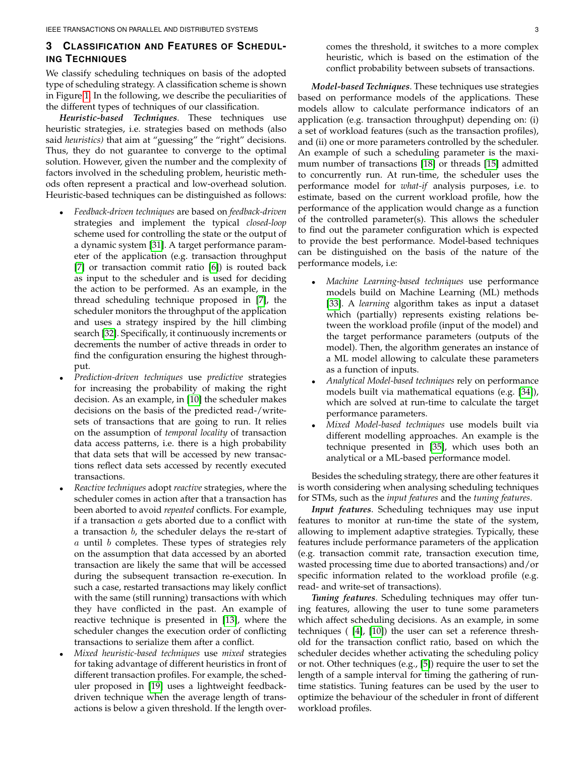# <span id="page-2-0"></span>**3 CLASSIFICATION AND FEATURES OF SCHEDUL-ING TECHNIQUES**

We classify scheduling techniques on basis of the adopted type of scheduling strategy. A classification scheme is shown in Figure [1.](#page-3-1) In the following, we describe the peculiarities of the different types of techniques of our classification.

*Heuristic-based Techniques*. These techniques use heuristic strategies, i.e. strategies based on methods (also said *heuristics)* that aim at "guessing" the "right" decisions. Thus, they do not guarantee to converge to the optimal solution. However, given the number and the complexity of factors involved in the scheduling problem, heuristic methods often represent a practical and low-overhead solution. Heuristic-based techniques can be distinguished as follows:

- *Feedback-driven techniques* are based on *feedback-driven* strategies and implement the typical *closed-loop* scheme used for controlling the state or the output of a dynamic system [\[31\]](#page-17-9). A target performance parameter of the application (e.g. transaction throughput [\[7\]](#page-16-6) or transaction commit ratio [\[6\]](#page-16-5)) is routed back as input to the scheduler and is used for deciding the action to be performed. As an example, in the thread scheduling technique proposed in [\[7\]](#page-16-6), the scheduler monitors the throughput of the application and uses a strategy inspired by the hill climbing search [\[32\]](#page-17-10). Specifically, it continuously increments or decrements the number of active threads in order to find the configuration ensuring the highest throughput.
- *Prediction-driven techniques* use *predictive* strategies for increasing the probability of making the right decision. As an example, in [\[10\]](#page-16-9) the scheduler makes decisions on the basis of the predicted read-/writesets of transactions that are going to run. It relies on the assumption of *temporal locality* of transaction data access patterns, i.e. there is a high probability that data sets that will be accessed by new transactions reflect data sets accessed by recently executed transactions.
- *Reactive techniques* adopt *reactive* strategies, where the scheduler comes in action after that a transaction has been aborted to avoid *repeated* conflicts. For example, if a transaction  $a$  gets aborted due to a conflict with a transaction  $b$ , the scheduler delays the re-start of  $a$  until  $b$  completes. These types of strategies rely on the assumption that data accessed by an aborted transaction are likely the same that will be accessed during the subsequent transaction re-execution. In such a case, restarted transactions may likely conflict with the same (still running) transactions with which they have conflicted in the past. An example of reactive technique is presented in [\[13\]](#page-16-12), where the scheduler changes the execution order of conflicting transactions to serialize them after a conflict.
- *Mixed heuristic-based techniques* use *mixed* strategies for taking advantage of different heuristics in front of different transaction profiles. For example, the scheduler proposed in [\[19\]](#page-16-18) uses a lightweight feedbackdriven technique when the average length of transactions is below a given threshold. If the length over-

comes the threshold, it switches to a more complex heuristic, which is based on the estimation of the conflict probability between subsets of transactions.

*Model-based Techniques*. These techniques use strategies based on performance models of the applications. These models allow to calculate performance indicators of an application (e.g. transaction throughput) depending on: (i) a set of workload features (such as the transaction profiles), and (ii) one or more parameters controlled by the scheduler. An example of such a scheduling parameter is the maximum number of transactions [\[18\]](#page-16-17) or threads [\[15\]](#page-16-14) admitted to concurrently run. At run-time, the scheduler uses the performance model for *what-if* analysis purposes, i.e. to estimate, based on the current workload profile, how the performance of the application would change as a function of the controlled parameter(s). This allows the scheduler to find out the parameter configuration which is expected to provide the best performance. Model-based techniques can be distinguished on the basis of the nature of the performance models, i.e:

- *Machine Learning-based techniques* use performance models build on Machine Learning (ML) methods [\[33\]](#page-17-11). A *learning* algorithm takes as input a dataset which (partially) represents existing relations between the workload profile (input of the model) and the target performance parameters (outputs of the model). Then, the algorithm generates an instance of a ML model allowing to calculate these parameters as a function of inputs.
- *Analytical Model-based techniques* rely on performance models built via mathematical equations (e.g. [\[34\]](#page-17-12)), which are solved at run-time to calculate the target performance parameters.
- *Mixed Model-based techniques* use models built via different modelling approaches. An example is the technique presented in [\[35\]](#page-17-13), which uses both an analytical or a ML-based performance model.

Besides the scheduling strategy, there are other features it is worth considering when analysing scheduling techniques for STMs, such as the *input features* and the *tuning features*.

*Input features*. Scheduling techniques may use input features to monitor at run-time the state of the system, allowing to implement adaptive strategies. Typically, these features include performance parameters of the application (e.g. transaction commit rate, transaction execution time, wasted processing time due to aborted transactions) and/or specific information related to the workload profile (e.g. read- and write-set of transactions).

*Tuning features*. Scheduling techniques may offer tuning features, allowing the user to tune some parameters which affect scheduling decisions. As an example, in some techniques ( [\[4\]](#page-16-3), [\[10\]](#page-16-9)) the user can set a reference threshold for the transaction conflict ratio, based on which the scheduler decides whether activating the scheduling policy or not. Other techniques (e.g., [\[5\]](#page-16-4)) require the user to set the length of a sample interval for timing the gathering of runtime statistics. Tuning features can be used by the user to optimize the behaviour of the scheduler in front of different workload profiles.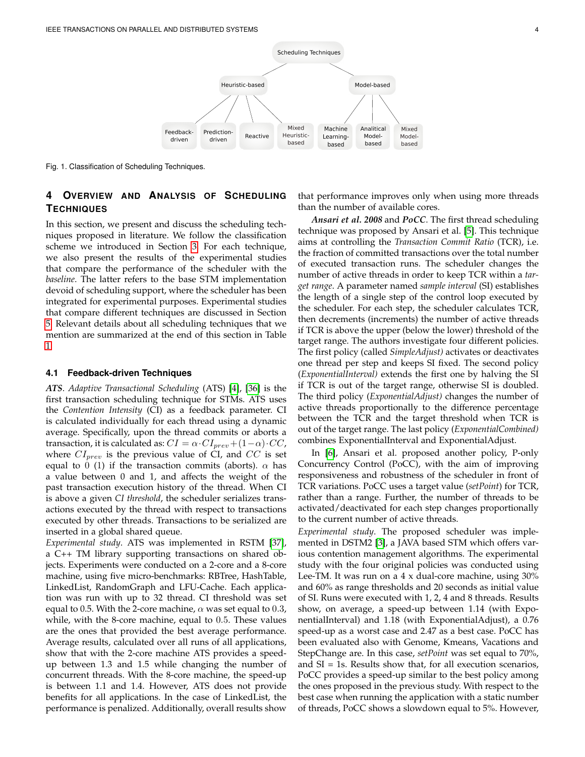

<span id="page-3-1"></span>Fig. 1. Classification of Scheduling Techniques.

# <span id="page-3-0"></span>**4 OVERVIEW AND ANALYSIS OF SCHEDULING TECHNIQUES**

In this section, we present and discuss the scheduling techniques proposed in literature. We follow the classification scheme we introduced in Section [3.](#page-2-0) For each technique, we also present the results of the experimental studies that compare the performance of the scheduler with the *baseline*. The latter refers to the base STM implementation devoid of scheduling support, where the scheduler has been integrated for experimental purposes. Experimental studies that compare different techniques are discussed in Section [5.](#page-10-0) Relevant details about all scheduling techniques that we mention are summarized at the end of this section in Table [1.](#page-11-1)

#### <span id="page-3-2"></span>**4.1 Feedback-driven Techniques**

*ATS*. *Adaptive Transactional Scheduling* (ATS) [\[4\]](#page-16-3), [\[36\]](#page-17-14) is the first transaction scheduling technique for STMs. ATS uses the *Contention Intensity* (CI) as a feedback parameter. CI is calculated individually for each thread using a dynamic average. Specifically, upon the thread commits or aborts a transaction, it is calculated as:  $CI = \alpha \cdot CI_{prev} + (1-\alpha) \cdot CC$ , where  $CI_{prev}$  is the previous value of CI, and  $CC$  is set equal to 0 (1) if the transaction commits (aborts).  $\alpha$  has a value between 0 and 1, and affects the weight of the past transaction execution history of the thread. When CI is above a given *CI threshold*, the scheduler serializes transactions executed by the thread with respect to transactions executed by other threads. Transactions to be serialized are inserted in a global shared queue.

*Experimental study*. ATS was implemented in RSTM [\[37\]](#page-17-15), a C++ TM library supporting transactions on shared objects. Experiments were conducted on a 2-core and a 8-core machine, using five micro-benchmarks: RBTree, HashTable, LinkedList, RandomGraph and LFU-Cache. Each application was run with up to 32 thread. CI threshold was set equal to 0.5. With the 2-core machine,  $\alpha$  was set equal to 0.3, while, with the 8-core machine, equal to 0.5. These values are the ones that provided the best average performance. Average results, calculated over all runs of all applications, show that with the 2-core machine ATS provides a speedup between 1.3 and 1.5 while changing the number of concurrent threads. With the 8-core machine, the speed-up is between 1.1 and 1.4. However, ATS does not provide benefits for all applications. In the case of LinkedList, the performance is penalized. Additionally, overall results show

that performance improves only when using more threads than the number of available cores.

*Ansari et al. 2008* and *PoCC*. The first thread scheduling technique was proposed by Ansari et al. [\[5\]](#page-16-4). This technique aims at controlling the *Transaction Commit Ratio* (TCR), i.e. the fraction of committed transactions over the total number of executed transaction runs. The scheduler changes the number of active threads in order to keep TCR within a *target range*. A parameter named *sample interval* (SI) establishes the length of a single step of the control loop executed by the scheduler. For each step, the scheduler calculates TCR, then decrements (increments) the number of active threads if TCR is above the upper (below the lower) threshold of the target range. The authors investigate four different policies. The first policy (called *SimpleAdjust)* activates or deactivates one thread per step and keeps SI fixed. The second policy (*ExponentialInterval)* extends the first one by halving the SI if TCR is out of the target range, otherwise SI is doubled. The third policy (*ExponentialAdjust)* changes the number of active threads proportionally to the difference percentage between the TCR and the target threshold when TCR is out of the target range. The last policy (*ExponentialCombined)* combines ExponentialInterval and ExponentialAdjust.

In [\[6\]](#page-16-5), Ansari et al. proposed another policy, P-only Concurrency Control (PoCC), with the aim of improving responsiveness and robustness of the scheduler in front of TCR variations. PoCC uses a target value (*setPoint*) for TCR, rather than a range. Further, the number of threads to be activated/deactivated for each step changes proportionally to the current number of active threads.

*Experimental study*. The proposed scheduler was implemented in DSTM2 [\[3\]](#page-16-2), a JAVA based STM which offers various contention management algorithms. The experimental study with the four original policies was conducted using Lee-TM. It was run on a 4 x dual-core machine, using 30% and 60% as range thresholds and 20 seconds as initial value of SI. Runs were executed with 1, 2, 4 and 8 threads. Results show, on average, a speed-up between 1.14 (with ExponentialInterval) and 1.18 (with ExponentialAdjust), a 0.76 speed-up as a worst case and 2.47 as a best case. PoCC has been evaluated also with Genome, Kmeans, Vacations and StepChange are. In this case, *setPoint* was set equal to 70%, and SI = 1s. Results show that, for all execution scenarios, PoCC provides a speed-up similar to the best policy among the ones proposed in the previous study. With respect to the best case when running the application with a static number of threads, PoCC shows a slowdown equal to 5%. However,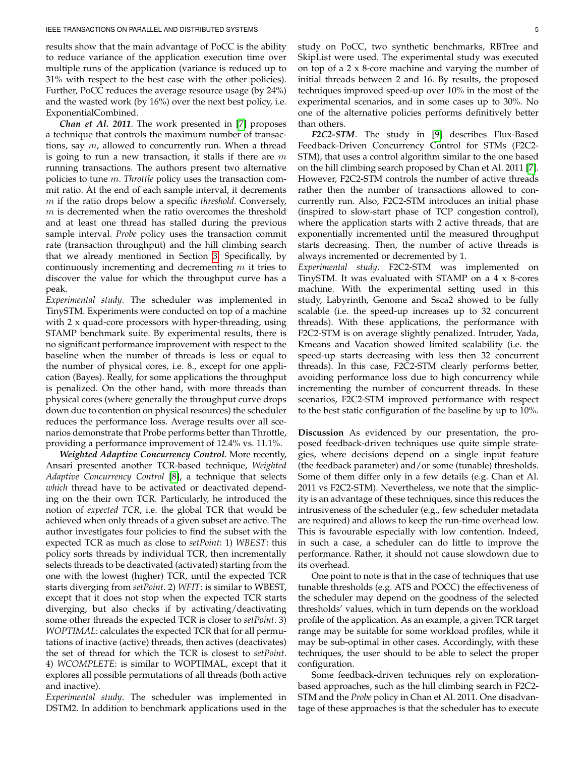results show that the main advantage of PoCC is the ability to reduce variance of the application execution time over multiple runs of the application (variance is reduced up to 31% with respect to the best case with the other policies). Further, PoCC reduces the average resource usage (by 24%) and the wasted work (by 16%) over the next best policy, i.e. ExponentialCombined.

*Chan et Al. 2011*. The work presented in [\[7\]](#page-16-6) proposes a technique that controls the maximum number of transactions, say  $m$ , allowed to concurrently run. When a thread is going to run a new transaction, it stalls if there are  $m$ running transactions. The authors present two alternative policies to tune m. *Throttle* policy uses the transaction commit ratio. At the end of each sample interval, it decrements m if the ratio drops below a specific *threshold*. Conversely,  $m$  is decremented when the ratio overcomes the threshold and at least one thread has stalled during the previous sample interval. *Probe* policy uses the transaction commit rate (transaction throughput) and the hill climbing search that we already mentioned in Section [3.](#page-2-0) Specifically, by continuously incrementing and decrementing  $m$  it tries to discover the value for which the throughput curve has a peak.

*Experimental study*. The scheduler was implemented in TinySTM. Experiments were conducted on top of a machine with 2 x quad-core processors with hyper-threading, using STAMP benchmark suite. By experimental results, there is no significant performance improvement with respect to the baseline when the number of threads is less or equal to the number of physical cores, i.e. 8., except for one application (Bayes). Really, for some applications the throughput is penalized. On the other hand, with more threads than physical cores (where generally the throughput curve drops down due to contention on physical resources) the scheduler reduces the performance loss. Average results over all scenarios demonstrate that Probe performs better than Throttle, providing a performance improvement of 12.4% vs. 11.1%.

*Weighted Adaptive Concurrency Control*. More recently, Ansari presented another TCR-based technique, *Weighted Adaptive Concurrency Control* [\[8\]](#page-16-7), a technique that selects *which* thread have to be activated or deactivated depending on the their own TCR. Particularly, he introduced the notion of *expected TCR*, i.e. the global TCR that would be achieved when only threads of a given subset are active. The author investigates four policies to find the subset with the expected TCR as much as close to *setPoint*: 1) *WBEST*: this policy sorts threads by individual TCR, then incrementally selects threads to be deactivated (activated) starting from the one with the lowest (higher) TCR, until the expected TCR starts diverging from *setPoint*. 2) *WFIT*: is similar to WBEST, except that it does not stop when the expected TCR starts diverging, but also checks if by activating/deactivating some other threads the expected TCR is closer to *setPoint*. 3) *WOPTIMAL*: calculates the expected TCR that for all permutations of inactive (active) threads, then actives (deactivates) the set of thread for which the TCR is closest to *setPoint*. 4) *WCOMPLETE*: is similar to WOPTIMAL, except that it explores all possible permutations of all threads (both active and inactive).

*Experimental study*. The scheduler was implemented in DSTM2. In addition to benchmark applications used in the study on PoCC, two synthetic benchmarks, RBTree and SkipList were used. The experimental study was executed on top of a  $2 \times 8$ -core machine and varying the number of initial threads between 2 and 16. By results, the proposed techniques improved speed-up over 10% in the most of the experimental scenarios, and in some cases up to 30%. No one of the alternative policies performs definitively better than others.

*F2C2-STM*. The study in [\[9\]](#page-16-8) describes Flux-Based Feedback-Driven Concurrency Control for STMs (F2C2- STM), that uses a control algorithm similar to the one based on the hill climbing search proposed by Chan et Al. 2011 [\[7\]](#page-16-6). However, F2C2-STM controls the number of active threads rather then the number of transactions allowed to concurrently run. Also, F2C2-STM introduces an initial phase (inspired to slow-start phase of TCP congestion control), where the application starts with 2 active threads, that are exponentially incremented until the measured throughput starts decreasing. Then, the number of active threads is always incremented or decremented by 1.

*Experimental study*. F2C2-STM was implemented on TinySTM. It was evaluated with STAMP on a 4 x 8-cores machine. With the experimental setting used in this study, Labyrinth, Genome and Ssca2 showed to be fully scalable (i.e. the speed-up increases up to 32 concurrent threads). With these applications, the performance with F2C2-STM is on average slightly penalized. Intruder, Yada, Kmeans and Vacation showed limited scalability (i.e. the speed-up starts decreasing with less then 32 concurrent threads). In this case, F2C2-STM clearly performs better, avoiding performance loss due to high concurrency while incrementing the number of concurrent threads. In these scenarios, F2C2-STM improved performance with respect to the best static configuration of the baseline by up to 10%.

**Discussion** As evidenced by our presentation, the proposed feedback-driven techniques use quite simple strategies, where decisions depend on a single input feature (the feedback parameter) and/or some (tunable) thresholds. Some of them differ only in a few details (e.g. Chan et Al. 2011 vs F2C2-STM). Nevertheless, we note that the simplicity is an advantage of these techniques, since this reduces the intrusiveness of the scheduler (e.g., few scheduler metadata are required) and allows to keep the run-time overhead low. This is favourable especially with low contention. Indeed, in such a case, a scheduler can do little to improve the performance. Rather, it should not cause slowdown due to its overhead.

One point to note is that in the case of techniques that use tunable thresholds (e.g. ATS and POCC) the effectiveness of the scheduler may depend on the goodness of the selected thresholds' values, which in turn depends on the workload profile of the application. As an example, a given TCR target range may be suitable for some workload profiles, while it may be sub-optimal in other cases. Accordingly, with these techniques, the user should to be able to select the proper configuration.

Some feedback-driven techniques rely on explorationbased approaches, such as the hill climbing search in F2C2- STM and the *Probe* policy in Chan et Al. 2011. One disadvantage of these approaches is that the scheduler has to execute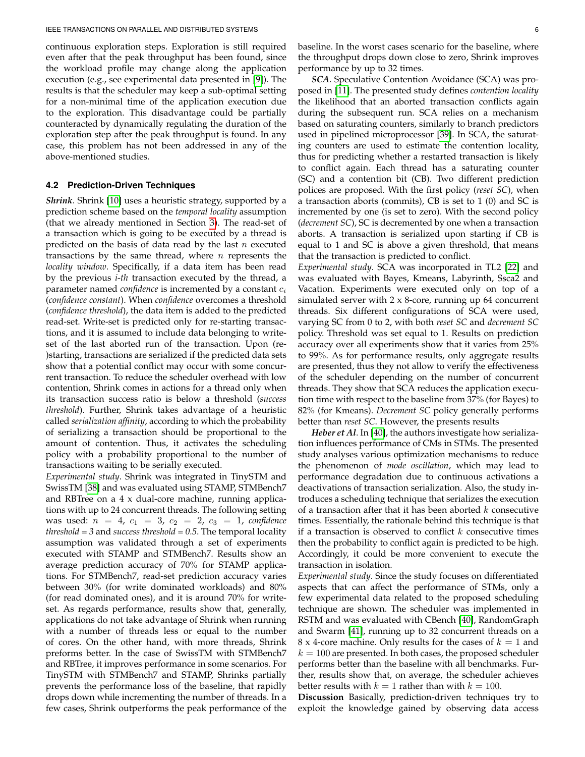continuous exploration steps. Exploration is still required even after that the peak throughput has been found, since the workload profile may change along the application execution (e.g., see experimental data presented in [\[9\]](#page-16-8)). The results is that the scheduler may keep a sub-optimal setting for a non-minimal time of the application execution due to the exploration. This disadvantage could be partially counteracted by dynamically regulating the duration of the exploration step after the peak throughput is found. In any case, this problem has not been addressed in any of the above-mentioned studies.

#### **4.2 Prediction-Driven Techniques**

*Shrink*. Shrink [\[10\]](#page-16-9) uses a heuristic strategy, supported by a prediction scheme based on the *temporal locality* assumption (that we already mentioned in Section [3\)](#page-2-0). The read-set of a transaction which is going to be executed by a thread is predicted on the basis of data read by the last  $n$  executed transactions by the same thread, where  $n$  represents the *locality window*. Specifically, if a data item has been read by the previous *i-th* transaction executed by the thread, a parameter named *confidence* is incremented by a constant  $c_i$ (*confidence constant*). When *confidence* overcomes a threshold (*confidence threshold*), the data item is added to the predicted read-set. Write-set is predicted only for re-starting transactions, and it is assumed to include data belonging to writeset of the last aborted run of the transaction. Upon (re- )starting, transactions are serialized if the predicted data sets show that a potential conflict may occur with some concurrent transaction. To reduce the scheduler overhead with low contention, Shrink comes in actions for a thread only when its transaction success ratio is below a threshold (*success threshold*). Further, Shrink takes advantage of a heuristic called *serialization affinity*, according to which the probability of serializing a transaction should be proportional to the amount of contention. Thus, it activates the scheduling policy with a probability proportional to the number of transactions waiting to be serially executed.

*Experimental study*. Shrink was integrated in TinySTM and SwissTM [\[38\]](#page-17-16) and was evaluated using STAMP, STMBench7 and RBTree on a 4 x dual-core machine, running applications with up to 24 concurrent threads. The following setting was used:  $n = 4$ ,  $c_1 = 3$ ,  $c_2 = 2$ ,  $c_3 = 1$ , *confidence threshold = 3* and *success threshold = 0.5*. The temporal locality assumption was validated through a set of experiments executed with STAMP and STMBench7. Results show an average prediction accuracy of 70% for STAMP applications. For STMBench7, read-set prediction accuracy varies between 30% (for write dominated workloads) and 80% (for read dominated ones), and it is around 70% for writeset. As regards performance, results show that, generally, applications do not take advantage of Shrink when running with a number of threads less or equal to the number of cores. On the other hand, with more threads, Shrink preforms better. In the case of SwissTM with STMBench7 and RBTree, it improves performance in some scenarios. For TinySTM with STMBench7 and STAMP, Shrinks partially prevents the performance loss of the baseline, that rapidly drops down while incrementing the number of threads. In a few cases, Shrink outperforms the peak performance of the

baseline. In the worst cases scenario for the baseline, where the throughput drops down close to zero, Shrink improves performance by up to 32 times.

*SCA*. Speculative Contention Avoidance (SCA) was proposed in [\[11\]](#page-16-10). The presented study defines *contention locality* the likelihood that an aborted transaction conflicts again during the subsequent run. SCA relies on a mechanism based on saturating counters, similarly to branch predictors used in pipelined microprocessor [\[39\]](#page-17-17). In SCA, the saturating counters are used to estimate the contention locality, thus for predicting whether a restarted transaction is likely to conflict again. Each thread has a saturating counter (SC) and a contention bit (CB). Two different prediction polices are proposed. With the first policy (*reset SC*), when a transaction aborts (commits), CB is set to 1 (0) and SC is incremented by one (is set to zero). With the second policy (*decrement SC*), SC is decremented by one when a transaction aborts. A transaction is serialized upon starting if CB is equal to 1 and SC is above a given threshold, that means that the transaction is predicted to conflict.

*Experimental study*. SCA was incorporated in TL2 [\[22\]](#page-17-0) and was evaluated with Bayes, Kmeans, Labyrinth, Ssca2 and Vacation. Experiments were executed only on top of a simulated server with 2 x 8-core, running up 64 concurrent threads. Six different configurations of SCA were used, varying SC from 0 to 2, with both *reset SC* and *decrement SC* policy. Threshold was set equal to 1. Results on prediction accuracy over all experiments show that it varies from 25% to 99%. As for performance results, only aggregate results are presented, thus they not allow to verify the effectiveness of the scheduler depending on the number of concurrent threads. They show that SCA reduces the application execution time with respect to the baseline from 37% (for Bayes) to 82% (for Kmeans). *Decrement SC* policy generally performs better than *reset SC*. However, the presents results

*Heber et Al*. In [\[40\]](#page-17-18), the authors investigate how serialization influences performance of CMs in STMs. The presented study analyses various optimization mechanisms to reduce the phenomenon of *mode oscillation*, which may lead to performance degradation due to continuous activations a deactivations of transaction serialization. Also, the study introduces a scheduling technique that serializes the execution of a transaction after that it has been aborted  $k$  consecutive times. Essentially, the rationale behind this technique is that if a transaction is observed to conflict  $k$  consecutive times then the probability to conflict again is predicted to be high. Accordingly, it could be more convenient to execute the transaction in isolation.

*Experimental study*. Since the study focuses on differentiated aspects that can affect the performance of STMs, only a few experimental data related to the proposed scheduling technique are shown. The scheduler was implemented in RSTM and was evaluated with CBench [\[40\]](#page-17-18), RandomGraph and Swarm [\[41\]](#page-17-19), running up to 32 concurrent threads on a 8 x 4-core machine. Only results for the cases of  $k = 1$  and  $k = 100$  are presented. In both cases, the proposed scheduler performs better than the baseline with all benchmarks. Further, results show that, on average, the scheduler achieves better results with  $k = 1$  rather than with  $k = 100$ .

**Discussion** Basically, prediction-driven techniques try to exploit the knowledge gained by observing data access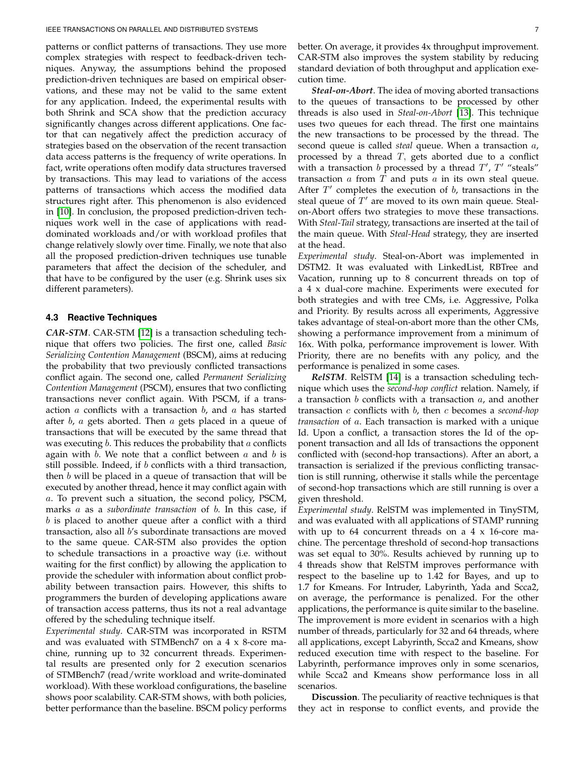patterns or conflict patterns of transactions. They use more complex strategies with respect to feedback-driven techniques. Anyway, the assumptions behind the proposed prediction-driven techniques are based on empirical observations, and these may not be valid to the same extent for any application. Indeed, the experimental results with both Shrink and SCA show that the prediction accuracy significantly changes across different applications. One factor that can negatively affect the prediction accuracy of strategies based on the observation of the recent transaction data access patterns is the frequency of write operations. In fact, write operations often modify data structures traversed by transactions. This may lead to variations of the access patterns of transactions which access the modified data structures right after. This phenomenon is also evidenced in [\[10\]](#page-16-9). In conclusion, the proposed prediction-driven techniques work well in the case of applications with readdominated workloads and/or with workload profiles that change relatively slowly over time. Finally, we note that also all the proposed prediction-driven techniques use tunable parameters that affect the decision of the scheduler, and that have to be configured by the user (e.g. Shrink uses six different parameters).

# **4.3 Reactive Techniques**

*CAR-STM*. CAR-STM [\[12\]](#page-16-11) is a transaction scheduling technique that offers two policies. The first one, called *Basic Serializing Contention Management* (BSCM), aims at reducing the probability that two previously conflicted transactions conflict again. The second one, called *Permanent Serializing Contention Management* (PSCM), ensures that two conflicting transactions never conflict again. With PSCM, if a transaction  $a$  conflicts with a transaction  $b$ , and  $a$  has started after  $b$ ,  $a$  gets aborted. Then  $a$  gets placed in a queue of transactions that will be executed by the same thread that was executing  $b$ . This reduces the probability that  $a$  conflicts again with  $b$ . We note that a conflict between  $a$  and  $b$  is still possible. Indeed, if  $b$  conflicts with a third transaction, then  $b$  will be placed in a queue of transaction that will be executed by another thread, hence it may conflict again with a. To prevent such a situation, the second policy, PSCM, marks a as a *subordinate transaction* of b. In this case, if  $b$  is placed to another queue after a conflict with a third transaction, also all b's subordinate transactions are moved to the same queue. CAR-STM also provides the option to schedule transactions in a proactive way (i.e. without waiting for the first conflict) by allowing the application to provide the scheduler with information about conflict probability between transaction pairs. However, this shifts to programmers the burden of developing applications aware of transaction access patterns, thus its not a real advantage offered by the scheduling technique itself.

*Experimental study*. CAR-STM was incorporated in RSTM and was evaluated with STMBench7 on a 4 x 8-core machine, running up to 32 concurrent threads. Experimental results are presented only for 2 execution scenarios of STMBench7 (read/write workload and write-dominated workload). With these workload configurations, the baseline shows poor scalability. CAR-STM shows, with both policies, better performance than the baseline. BSCM policy performs

better. On average, it provides 4x throughput improvement. CAR-STM also improves the system stability by reducing standard deviation of both throughput and application execution time.

*Steal-on-Abort*. The idea of moving aborted transactions to the queues of transactions to be processed by other threads is also used in *Steal-on-Abort* [\[13\]](#page-16-12). This technique uses two queues for each thread. The first one maintains the new transactions to be processed by the thread. The second queue is called *steal* queue. When a transaction a, processed by a thread  $T$ , gets aborted due to a conflict with a transaction b processed by a thread  $T'$ ,  $T'$  "steals" transaction  $a$  from  $T$  and puts  $a$  in its own steal queue. After  $T'$  completes the execution of  $b$ , transactions in the steal queue of  $T'$  are moved to its own main queue. Stealon-Abort offers two strategies to move these transactions. With *Steal-Tail* strategy, transactions are inserted at the tail of the main queue. With *Steal-Head* strategy, they are inserted at the head.

*Experimental study*. Steal-on-Abort was implemented in DSTM2. It was evaluated with LinkedList, RBTree and Vacation, running up to 8 concurrent threads on top of a 4 x dual-core machine. Experiments were executed for both strategies and with tree CMs, i.e. Aggressive, Polka and Priority. By results across all experiments, Aggressive takes advantage of steal-on-abort more than the other CMs, showing a performance improvement from a minimum of 16x. With polka, performance improvement is lower. With Priority, there are no benefits with any policy, and the performance is penalized in some cases.

*RelSTM*. RelSTM [\[14\]](#page-16-13) is a transaction scheduling technique which uses the *second-hop conflict* relation. Namely, if a transaction  $b$  conflicts with a transaction  $a$ , and another transaction c conflicts with b, then c becomes a *second-hop transaction* of a. Each transaction is marked with a unique Id. Upon a conflict, a transaction stores the Id of the opponent transaction and all Ids of transactions the opponent conflicted with (second-hop transactions). After an abort, a transaction is serialized if the previous conflicting transaction is still running, otherwise it stalls while the percentage of second-hop transactions which are still running is over a given threshold.

*Experimental study*. RelSTM was implemented in TinySTM, and was evaluated with all applications of STAMP running with up to  $64$  concurrent threads on a  $4 \times 16$ -core machine. The percentage threshold of second-hop transactions was set equal to 30%. Results achieved by running up to 4 threads show that RelSTM improves performance with respect to the baseline up to 1.42 for Bayes, and up to 1.7 for Kmeans. For Intruder, Labyrinth, Yada and Scca2, on average, the performance is penalized. For the other applications, the performance is quite similar to the baseline. The improvement is more evident in scenarios with a high number of threads, particularly for 32 and 64 threads, where all applications, except Labyrinth, Scca2 and Kmeans, show reduced execution time with respect to the baseline. For Labyrinth, performance improves only in some scenarios, while Scca2 and Kmeans show performance loss in all scenarios.

**Discussion**. The peculiarity of reactive techniques is that they act in response to conflict events, and provide the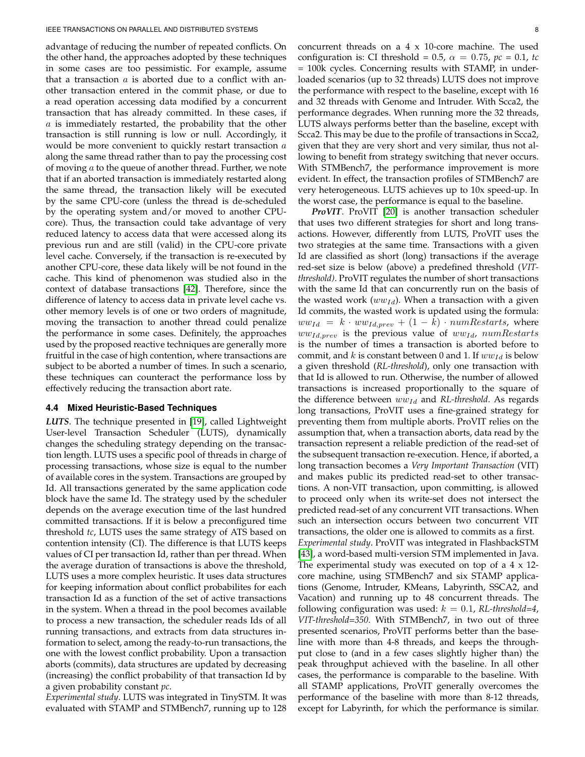advantage of reducing the number of repeated conflicts. On the other hand, the approaches adopted by these techniques in some cases are too pessimistic. For example, assume that a transaction  $a$  is aborted due to a conflict with another transaction entered in the commit phase, or due to a read operation accessing data modified by a concurrent transaction that has already committed. In these cases, if  $a$  is immediately restarted, the probability that the other transaction is still running is low or null. Accordingly, it would be more convenient to quickly restart transaction a along the same thread rather than to pay the processing cost of moving  $a$  to the queue of another thread. Further, we note that if an aborted transaction is immediately restarted along the same thread, the transaction likely will be executed by the same CPU-core (unless the thread is de-scheduled by the operating system and/or moved to another CPUcore). Thus, the transaction could take advantage of very reduced latency to access data that were accessed along its previous run and are still (valid) in the CPU-core private level cache. Conversely, if the transaction is re-executed by another CPU-core, these data likely will be not found in the cache. This kind of phenomenon was studied also in the context of database transactions [\[42\]](#page-17-20). Therefore, since the difference of latency to access data in private level cache vs. other memory levels is of one or two orders of magnitude, moving the transaction to another thread could penalize the performance in some cases. Definitely, the approaches used by the proposed reactive techniques are generally more fruitful in the case of high contention, where transactions are subject to be aborted a number of times. In such a scenario, these techniques can counteract the performance loss by effectively reducing the transaction abort rate.

#### **4.4 Mixed Heuristic-Based Techniques**

*LUTS*. The technique presented in [\[19\]](#page-16-18), called Lightweight User-level Transaction Scheduler (LUTS), dynamically changes the scheduling strategy depending on the transaction length. LUTS uses a specific pool of threads in charge of processing transactions, whose size is equal to the number of available cores in the system. Transactions are grouped by Id. All transactions generated by the same application code block have the same Id. The strategy used by the scheduler depends on the average execution time of the last hundred committed transactions. If it is below a preconfigured time threshold *tc*, LUTS uses the same strategy of ATS based on contention intensity (CI). The difference is that LUTS keeps values of CI per transaction Id, rather than per thread. When the average duration of transactions is above the threshold, LUTS uses a more complex heuristic. It uses data structures for keeping information about conflict probabilites for each transaction Id as a function of the set of active transactions in the system. When a thread in the pool becomes available to process a new transaction, the scheduler reads Ids of all running transactions, and extracts from data structures information to select, among the ready-to-run transactions, the one with the lowest conflict probability. Upon a transaction aborts (commits), data structures are updated by decreasing (increasing) the conflict probability of that transaction Id by a given probability constant *pc*.

*Experimental study*. LUTS was integrated in TinySTM. It was evaluated with STAMP and STMBench7, running up to 128

concurrent threads on a 4 x 10-core machine. The used configuration is: CI threshold = 0.5,  $\alpha = 0.75$ ,  $pc = 0.1$ , *tc* = 100k cycles. Concerning results with STAMP, in underloaded scenarios (up to 32 threads) LUTS does not improve the performance with respect to the baseline, except with 16 and 32 threads with Genome and Intruder. With Scca2, the performance degrades. When running more the 32 threads, LUTS always performs better than the baseline, except with Scca2. This may be due to the profile of transactions in Scca2, given that they are very short and very similar, thus not allowing to benefit from strategy switching that never occurs. With STMBench7, the performance improvement is more evident. In effect, the transaction profiles of STMBench7 are very heterogeneous. LUTS achieves up to 10x speed-up. In the worst case, the performance is equal to the baseline.

*ProVIT*. ProVIT [\[20\]](#page-16-19) is another transaction scheduler that uses two different strategies for short and long transactions. However, differently from LUTS, ProVIT uses the two strategies at the same time. Transactions with a given Id are classified as short (long) transactions if the average red-set size is below (above) a predefined threshold (*VITthreshold)*. ProVIT regulates the number of short transactions with the same Id that can concurrently run on the basis of the wasted work  $(ww_{Id})$ . When a transaction with a given Id commits, the wasted work is updated using the formula:  $ww_{Id} = k \cdot ww_{Id,prev} + (1 - k) \cdot numRestarts,$  where  $ww_{Id,prev}$  is the previous value of  $ww_{Id}$ ,  $numRestarts$ is the number of times a transaction is aborted before to commit, and k is constant between 0 and 1. If  $ww_{Id}$  is below a given threshold (*RL-threshold*), only one transaction with that Id is allowed to run. Otherwise, the number of allowed transactions is increased proportionally to the square of the difference between  $ww_{Id}$  and *RL-threshold*. As regards long transactions, ProVIT uses a fine-grained strategy for preventing them from multiple aborts. ProVIT relies on the assumption that, when a transaction aborts, data read by the transaction represent a reliable prediction of the read-set of the subsequent transaction re-execution. Hence, if aborted, a long transaction becomes a *Very Important Transaction* (VIT) and makes public its predicted read-set to other transactions. A non-VIT transaction, upon committing, is allowed to proceed only when its write-set does not intersect the predicted read-set of any concurrent VIT transactions. When such an intersection occurs between two concurrent VIT transactions, the older one is allowed to commits as a first. *Experimental study*. ProVIT was integrated in FlashbackSTM [\[43\]](#page-17-21), a word-based multi-version STM implemented in Java. The experimental study was executed on top of a 4 x 12 core machine, using STMBench7 and six STAMP applications (Genome, Intruder, KMeans, Labyrinth, SSCA2, and Vacation) and running up to 48 concurrent threads. The following configuration was used:  $k = 0.1$ , *RL-threshold=4*, *VIT-threshold=350*. With STMBench7, in two out of three presented scenarios, ProVIT performs better than the baseline with more than 4-8 threads, and keeps the throughput close to (and in a few cases slightly higher than) the peak throughput achieved with the baseline. In all other cases, the performance is comparable to the baseline. With all STAMP applications, ProVIT generally overcomes the performance of the baseline with more than 8-12 threads, except for Labyrinth, for which the performance is similar.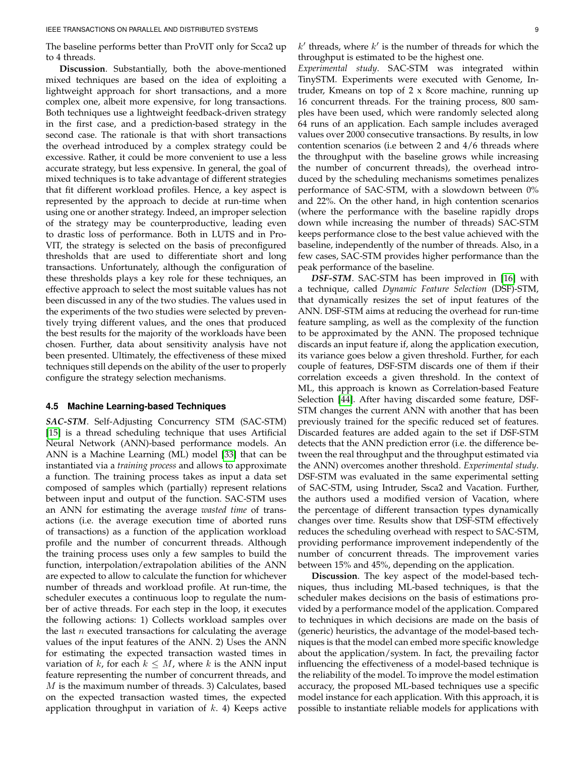The baseline performs better than ProVIT only for Scca2 up to 4 threads.

**Discussion**. Substantially, both the above-mentioned mixed techniques are based on the idea of exploiting a lightweight approach for short transactions, and a more complex one, albeit more expensive, for long transactions. Both techniques use a lightweight feedback-driven strategy in the first case, and a prediction-based strategy in the second case. The rationale is that with short transactions the overhead introduced by a complex strategy could be excessive. Rather, it could be more convenient to use a less accurate strategy, but less expensive. In general, the goal of mixed techniques is to take advantage of different strategies that fit different workload profiles. Hence, a key aspect is represented by the approach to decide at run-time when using one or another strategy. Indeed, an improper selection of the strategy may be counterproductive, leading even to drastic loss of performance. Both in LUTS and in Pro-VIT, the strategy is selected on the basis of preconfigured thresholds that are used to differentiate short and long transactions. Unfortunately, although the configuration of these thresholds plays a key role for these techniques, an effective approach to select the most suitable values has not been discussed in any of the two studies. The values used in the experiments of the two studies were selected by preventively trying different values, and the ones that produced the best results for the majority of the workloads have been chosen. Further, data about sensitivity analysis have not been presented. Ultimately, the effectiveness of these mixed techniques still depends on the ability of the user to properly configure the strategy selection mechanisms.

#### <span id="page-8-0"></span>**4.5 Machine Learning-based Techniques**

*SAC-STM*. Self-Adjusting Concurrency STM (SAC-STM) [\[15\]](#page-16-14) is a thread scheduling technique that uses Artificial Neural Network (ANN)-based performance models. An ANN is a Machine Learning (ML) model [\[33\]](#page-17-11) that can be instantiated via a *training process* and allows to approximate a function. The training process takes as input a data set composed of samples which (partially) represent relations between input and output of the function. SAC-STM uses an ANN for estimating the average *wasted time* of transactions (i.e. the average execution time of aborted runs of transactions) as a function of the application workload profile and the number of concurrent threads. Although the training process uses only a few samples to build the function, interpolation/extrapolation abilities of the ANN are expected to allow to calculate the function for whichever number of threads and workload profile. At run-time, the scheduler executes a continuous loop to regulate the number of active threads. For each step in the loop, it executes the following actions: 1) Collects workload samples over the last  $n$  executed transactions for calculating the average values of the input features of the ANN. 2) Uses the ANN for estimating the expected transaction wasted times in variation of k, for each  $k \leq M$ , where k is the ANN input feature representing the number of concurrent threads, and M is the maximum number of threads. 3) Calculates, based on the expected transaction wasted times, the expected application throughput in variation of  $k$ . 4) Keeps active

 $k'$  threads, where  $k'$  is the number of threads for which the throughput is estimated to be the highest one.

*Experimental study*. SAC-STM was integrated within TinySTM. Experiments were executed with Genome, Intruder, Kmeans on top of 2 x 8core machine, running up 16 concurrent threads. For the training process, 800 samples have been used, which were randomly selected along 64 runs of an application. Each sample includes averaged values over 2000 consecutive transactions. By results, in low contention scenarios (i.e between 2 and 4/6 threads where the throughput with the baseline grows while increasing the number of concurrent threads), the overhead introduced by the scheduling mechanisms sometimes penalizes performance of SAC-STM, with a slowdown between 0% and 22%. On the other hand, in high contention scenarios (where the performance with the baseline rapidly drops down while increasing the number of threads) SAC-STM keeps performance close to the best value achieved with the baseline, independently of the number of threads. Also, in a few cases, SAC-STM provides higher performance than the peak performance of the baseline.

*DSF-STM*. SAC-STM has been improved in [\[16\]](#page-16-15) with a technique, called *Dynamic Feature Selection* (DSF)-STM, that dynamically resizes the set of input features of the ANN. DSF-STM aims at reducing the overhead for run-time feature sampling, as well as the complexity of the function to be approximated by the ANN. The proposed technique discards an input feature if, along the application execution, its variance goes below a given threshold. Further, for each couple of features, DSF-STM discards one of them if their correlation exceeds a given threshold. In the context of ML, this approach is known as Correlation-based Feature Selection [\[44\]](#page-17-22). After having discarded some feature, DSF-STM changes the current ANN with another that has been previously trained for the specific reduced set of features. Discarded features are added again to the set if DSF-STM detects that the ANN prediction error (i.e. the difference between the real throughput and the throughput estimated via the ANN) overcomes another threshold. *Experimental study*. DSF-STM was evaluated in the same experimental setting of SAC-STM, using Intruder, Ssca2 and Vacation. Further, the authors used a modified version of Vacation, where the percentage of different transaction types dynamically changes over time. Results show that DSF-STM effectively reduces the scheduling overhead with respect to SAC-STM, providing performance improvement independently of the number of concurrent threads. The improvement varies between 15% and 45%, depending on the application.

**Discussion**. The key aspect of the model-based techniques, thus including ML-based techniques, is that the scheduler makes decisions on the basis of estimations provided by a performance model of the application. Compared to techniques in which decisions are made on the basis of (generic) heuristics, the advantage of the model-based techniques is that the model can embed more specific knowledge about the application/system. In fact, the prevailing factor influencing the effectiveness of a model-based technique is the reliability of the model. To improve the model estimation accuracy, the proposed ML-based techniques use a specific model instance for each application. With this approach, it is possible to instantiate reliable models for applications with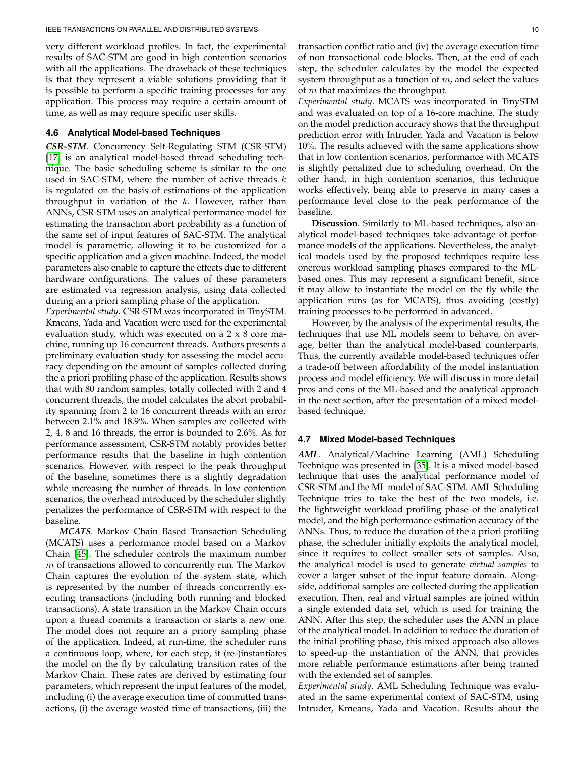very different workload profiles. In fact, the experimental results of SAC-STM are good in high contention scenarios with all the applications. The drawback of these techniques is that they represent a viable solutions providing that it is possible to perform a specific training processes for any application. This process may require a certain amount of time, as well as may require specific user skills.

# **4.6 Analytical Model-based Techniques**

*CSR-STM*. Concurrency Self-Regulating STM (CSR-STM) [\[17\]](#page-16-16) is an analytical model-based thread scheduling technique. The basic scheduling scheme is similar to the one used in SAC-STM, where the number of active threads  $k$ is regulated on the basis of estimations of the application throughput in variation of the  $k$ . However, rather than ANNs, CSR-STM uses an analytical performance model for estimating the transaction abort probability as a function of the same set of input features of SAC-STM. The analytical model is parametric, allowing it to be customized for a specific application and a given machine. Indeed, the model parameters also enable to capture the effects due to different hardware configurations. The values of these parameters are estimated via regression analysis, using data collected during an a priori sampling phase of the application.

*Experimental study*. CSR-STM was incorporated in TinySTM. Kmeans, Yada and Vacation were used for the experimental evaluation study, which was executed on a 2 x 8 core machine, running up 16 concurrent threads. Authors presents a preliminary evaluation study for assessing the model accuracy depending on the amount of samples collected during the a priori profiling phase of the application. Results shows that with 80 random samples, totally collected with 2 and 4 concurrent threads, the model calculates the abort probability spanning from 2 to 16 concurrent threads with an error between 2.1% and 18.9%. When samples are collected with 2, 4, 8 and 16 threads, the error is bounded to 2.6%. As for performance assessment, CSR-STM notably provides better performance results that the baseline in high contention scenarios. However, with respect to the peak throughput of the baseline, sometimes there is a slightly degradation while increasing the number of threads. In low contention scenarios, the overhead introduced by the scheduler slightly penalizes the performance of CSR-STM with respect to the baseline.

*MCATS*. Markov Chain Based Transaction Scheduling (MCATS) uses a performance model based on a Markov Chain [\[45\]](#page-17-23). The scheduler controls the maximum number  $m$  of transactions allowed to concurrently run. The Markov Chain captures the evolution of the system state, which is represented by the number of threads concurrently executing transactions (including both running and blocked transactions). A state transition in the Markov Chain occurs upon a thread commits a transaction or starts a new one. The model does not require an a priory sampling phase of the application. Indeed, at run-time, the scheduler runs a continuous loop, where, for each step, it (re-)instantiates the model on the fly by calculating transition rates of the Markov Chain. These rates are derived by estimating four parameters, which represent the input features of the model, including (i) the average execution time of committed transactions, (i) the average wasted time of transactions, (iii) the

transaction conflict ratio and (iv) the average execution time of non transactional code blocks. Then, at the end of each step, the scheduler calculates by the model the expected system throughput as a function of  $m$ , and select the values of  $m$  that maximizes the throughput.

*Experimental study*. MCATS was incorporated in TinySTM and was evaluated on top of a 16-core machine. The study on the model prediction accuracy shows that the throughput prediction error with Intruder, Yada and Vacation is below 10%. The results achieved with the same applications show that in low contention scenarios, performance with MCATS is slightly penalized due to scheduling overhead. On the other hand, in high contention scenarios, this technique works effectively, being able to preserve in many cases a performance level close to the peak performance of the baseline.

**Discussion**. Similarly to ML-based techniques, also analytical model-based techniques take advantage of performance models of the applications. Nevertheless, the analytical models used by the proposed techniques require less onerous workload sampling phases compared to the MLbased ones. This may represent a significant benefit, since it may allow to instantiate the model on the fly while the application runs (as for MCATS), thus avoiding (costly) training processes to be performed in advanced.

However, by the analysis of the experimental results, the techniques that use ML models seem to behave, on average, better than the analytical model-based counterparts. Thus, the currently available model-based techniques offer a trade-off between affordability of the model instantiation process and model efficiency. We will discuss in more detail pros and cons of the ML-based and the analytical approach in the next section, after the presentation of a mixed modelbased technique.

## **4.7 Mixed Model-based Techniques**

*AML*. Analytical/Machine Learning (AML) Scheduling Technique was presented in [\[35\]](#page-17-13). It is a mixed model-based technique that uses the analytical performance model of CSR-STM and the ML model of SAC-STM. AML Scheduling Technique tries to take the best of the two models, i.e. the lightweight workload profiling phase of the analytical model, and the high performance estimation accuracy of the ANNs. Thus, to reduce the duration of the a priori profiling phase, the scheduler initially exploits the analytical model, since it requires to collect smaller sets of samples. Also, the analytical model is used to generate *virtual samples* to cover a larger subset of the input feature domain. Alongside, additional samples are collected during the application execution. Then, real and virtual samples are joined within a single extended data set, which is used for training the ANN. After this step, the scheduler uses the ANN in place of the analytical model. In addition to reduce the duration of the initial profiling phase, this mixed approach also allows to speed-up the instantiation of the ANN, that provides more reliable performance estimations after being trained with the extended set of samples.

*Experimental study*. AML Scheduling Technique was evaluated in the same experimental context of SAC-STM, using Intruder, Kmeans, Yada and Vacation. Results about the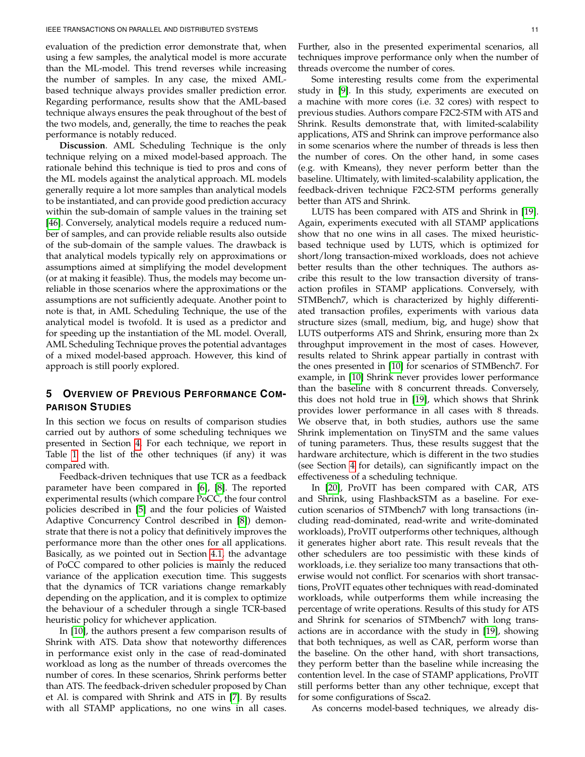evaluation of the prediction error demonstrate that, when using a few samples, the analytical model is more accurate than the ML-model. This trend reverses while increasing the number of samples. In any case, the mixed AMLbased technique always provides smaller prediction error. Regarding performance, results show that the AML-based technique always ensures the peak throughout of the best of the two models, and, generally, the time to reaches the peak performance is notably reduced.

**Discussion**. AML Scheduling Technique is the only technique relying on a mixed model-based approach. The rationale behind this technique is tied to pros and cons of the ML models against the analytical approach. ML models generally require a lot more samples than analytical models to be instantiated, and can provide good prediction accuracy within the sub-domain of sample values in the training set [\[46\]](#page-17-24). Conversely, analytical models require a reduced number of samples, and can provide reliable results also outside of the sub-domain of the sample values. The drawback is that analytical models typically rely on approximations or assumptions aimed at simplifying the model development (or at making it feasible). Thus, the models may become unreliable in those scenarios where the approximations or the assumptions are not sufficiently adequate. Another point to note is that, in AML Scheduling Technique, the use of the analytical model is twofold. It is used as a predictor and for speeding up the instantiation of the ML model. Overall, AML Scheduling Technique proves the potential advantages of a mixed model-based approach. However, this kind of approach is still poorly explored.

# <span id="page-10-0"></span>**5 OVERVIEW OF PREVIOUS PERFORMANCE COM-PARISON STUDIES**

In this section we focus on results of comparison studies carried out by authors of some scheduling techniques we presented in Section [4.](#page-3-0) For each technique, we report in Table [1](#page-11-1) the list of the other techniques (if any) it was compared with.

Feedback-driven techniques that use TCR as a feedback parameter have been compared in [\[6\]](#page-16-5), [\[8\]](#page-16-7). The reported experimental results (which compare PoCC, the four control policies described in [\[5\]](#page-16-4) and the four policies of Waisted Adaptive Concurrency Control described in [\[8\]](#page-16-7)) demonstrate that there is not a policy that definitively improves the performance more than the other ones for all applications. Basically, as we pointed out in Section [4.1,](#page-3-2) the advantage of PoCC compared to other policies is mainly the reduced variance of the application execution time. This suggests that the dynamics of TCR variations change remarkably depending on the application, and it is complex to optimize the behaviour of a scheduler through a single TCR-based heuristic policy for whichever application.

In [\[10\]](#page-16-9), the authors present a few comparison results of Shrink with ATS. Data show that noteworthy differences in performance exist only in the case of read-dominated workload as long as the number of threads overcomes the number of cores. In these scenarios, Shrink performs better than ATS. The feedback-driven scheduler proposed by Chan et Al. is compared with Shrink and ATS in [\[7\]](#page-16-6). By results with all STAMP applications, no one wins in all cases.

Further, also in the presented experimental scenarios, all techniques improve performance only when the number of threads overcome the number of cores.

Some interesting results come from the experimental study in [\[9\]](#page-16-8). In this study, experiments are executed on a machine with more cores (i.e. 32 cores) with respect to previous studies. Authors compare F2C2-STM with ATS and Shrink. Results demonstrate that, with limited-scalability applications, ATS and Shrink can improve performance also in some scenarios where the number of threads is less then the number of cores. On the other hand, in some cases (e.g. with Kmeans), they never perform better than the baseline. Ultimately, with limited-scalability application, the feedback-driven technique F2C2-STM performs generally better than ATS and Shrink.

LUTS has been compared with ATS and Shrink in [\[19\]](#page-16-18). Again, experiments executed with all STAMP applications show that no one wins in all cases. The mixed heuristicbased technique used by LUTS, which is optimized for short/long transaction-mixed workloads, does not achieve better results than the other techniques. The authors ascribe this result to the low transaction diversity of transaction profiles in STAMP applications. Conversely, with STMBench7, which is characterized by highly differentiated transaction profiles, experiments with various data structure sizes (small, medium, big, and huge) show that LUTS outperforms ATS and Shrink, ensuring more than 2x throughput improvement in the most of cases. However, results related to Shrink appear partially in contrast with the ones presented in [\[10\]](#page-16-9) for scenarios of STMBench7. For example, in [\[10\]](#page-16-9) Shrink never provides lower performance than the baseline with 8 concurrent threads. Conversely, this does not hold true in [\[19\]](#page-16-18), which shows that Shrink provides lower performance in all cases with 8 threads. We observe that, in both studies, authors use the same Shrink implementation on TinySTM and the same values of tuning parameters. Thus, these results suggest that the hardware architecture, which is different in the two studies (see Section [4](#page-3-0) for details), can significantly impact on the effectiveness of a scheduling technique.

In [\[20\]](#page-16-19), ProVIT has been compared with CAR, ATS and Shrink, using FlashbackSTM as a baseline. For execution scenarios of STMbench7 with long transactions (including read-dominated, read-write and write-dominated workloads), ProVIT outperforms other techniques, although it generates higher abort rate. This result reveals that the other schedulers are too pessimistic with these kinds of workloads, i.e. they serialize too many transactions that otherwise would not conflict. For scenarios with short transactions, ProVIT equates other techniques with read-dominated workloads, while outperforms them while increasing the percentage of write operations. Results of this study for ATS and Shrink for scenarios of STMbench7 with long transactions are in accordance with the study in [\[19\]](#page-16-18), showing that both techniques, as well as CAR, perform worse than the baseline. On the other hand, with short transactions, they perform better than the baseline while increasing the contention level. In the case of STAMP applications, ProVIT still performs better than any other technique, except that for some configurations of Ssca2.

As concerns model-based techniques, we already dis-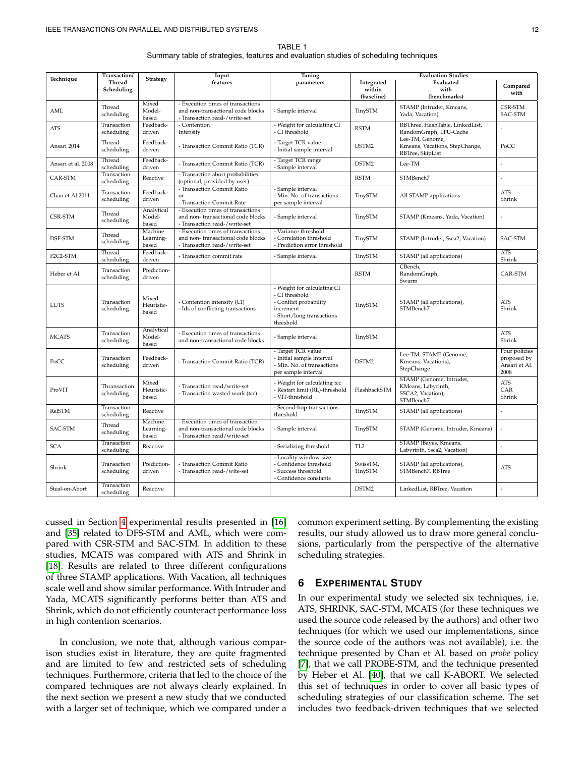TABLE 1 Summary table of strategies, features and evaluation studies of scheduling techniques

<span id="page-11-1"></span>

| Technique          | Transaction/                |                               | Input                                                                                                   | Tuning                                                                                                                         | <b>Evaluation Studies</b>          |                                                                                  |                                                       |
|--------------------|-----------------------------|-------------------------------|---------------------------------------------------------------------------------------------------------|--------------------------------------------------------------------------------------------------------------------------------|------------------------------------|----------------------------------------------------------------------------------|-------------------------------------------------------|
|                    | <b>Thread</b><br>Scheduling | <b>Strategy</b>               | features                                                                                                | parameters                                                                                                                     | Integrated<br>within<br>(baseline) | Evaluated<br>with<br>(benchmarks)                                                | Compared<br>with                                      |
| AML                | Thread<br>scheduling        | Mixed<br>Model-<br>based      | - Execution times of transactions<br>and non-transactional code blocks<br>- Transaction read-/write-set | - Sample interval                                                                                                              | TinySTM                            | STAMP (Intruder, Kmeans,<br>Yada, Vacation)                                      | CSR-STM<br>SAC-STM                                    |
| <b>ATS</b>         | Transaction<br>scheduling   | Feedback-<br>driven           | - Contention<br>Intensity                                                                               | - Weight for calculating CI<br>- CI threshold                                                                                  | <b>RSTM</b>                        | RBThree, HashTable, LinkedList,<br>RandomGraph, LFU-Cache                        | l.                                                    |
| Ansari 2014        | Thread<br>scheduling        | Feedback-<br>driven           | - Transaction Commit Ratio (TCR)                                                                        | - Target TCR value<br>- Initial sample interval                                                                                | DSTM2                              | Lee-TM, Genome,<br>Kmeans, Vacations, StepChange,<br>RBTree, SkipList            | PoCC                                                  |
| Ansari et al. 2008 | Thread<br>scheduling        | Feedback-<br>driven           | - Transaction Commit Ratio (TCR)                                                                        | - Target TCR range<br>- Sample interval                                                                                        | DSTM2                              | Lee-TM                                                                           | J.                                                    |
| CAR-STM            | Transaction<br>scheduling   | Reactive                      | - Transaction abort probabilities<br>(optional, provided by user)                                       |                                                                                                                                | <b>RSTM</b>                        | STMBench7                                                                        |                                                       |
| Chan et Al 2011    | Transaction<br>scheduling   | Feedback-<br>driven           | - Transaction Commit Ratio<br>or<br>- Transaction Commit Rate                                           | - Sample interval<br>- Min. No. of transactions<br>per sample interval                                                         | TinySTM                            | All STAMP applications                                                           | <b>ATS</b><br>Shrink                                  |
| CSR-STM            | Thread<br>scheduling        | Analytical<br>Model-<br>based | - Execution times of transactions<br>and non-transactional code blocks<br>- Transaction read-/write-set | - Sample interval                                                                                                              | TinySTM                            | STAMP (Kmeans, Yada, Vacation)                                                   |                                                       |
| DSF-STM            | Thread<br>scheduling        | Machine<br>Learning-<br>based | - Execution times of transactions<br>and non-transactional code blocks<br>- Transaction read-/write-set | - Variance threshold<br>- Correlation threshold<br>- Prediction error threshold                                                | TinySTM                            | STAMP (Intruder, Ssca2, Vacation)                                                | SAC-STM                                               |
| F2C2-STM           | Thread<br>scheduling        | Feedback-<br>driven           | - Transaction commit rate                                                                               | - Sample interval                                                                                                              | TinySTM                            | STAMP (all applications)                                                         | <b>ATS</b><br>Shrink                                  |
| Heber et Al.       | Transaction<br>scheduling   | Prediction-<br>driven         |                                                                                                         |                                                                                                                                | <b>RSTM</b>                        | CBench,<br>RandomGraph,<br>Swarm                                                 | CAR-STM                                               |
| <b>LUTS</b>        | Transaction<br>scheduling   | Mixed<br>Heuristic-<br>based  | Contention intensity (CI)<br>- Ids of conflicting transactions                                          | - Weight for calculating CI<br>- CI threshold<br>- Conflict probability<br>increment<br>- Short/long transactions<br>threshold | TinySTM                            | STAMP (all applications),<br>STMBench7                                           | <b>ATS</b><br>Shrink                                  |
| <b>MCATS</b>       | Transaction<br>scheduling   | Analytical<br>Model-<br>based | - Execution times of transactions<br>and non-transactional code blocks                                  | - Sample interval                                                                                                              | TinySTM                            |                                                                                  | ATS<br>Shrink                                         |
| PoCC               | Transaction<br>scheduling   | Feedback-<br>driven           | - Transaction Commit Ratio (TCR)                                                                        | - Target TCR value<br>- Initial sample interval<br>- Min. No. of transactions<br>per sample interval                           | DSTM2                              | Lee-TM, STAMP (Genome,<br>Kmeans, Vacations),<br>StepChange                      | Four policies<br>proposed by<br>Ansari et Al.<br>2008 |
| ProVIT             | Thransaction<br>scheduling  | Mixed<br>Heuristic-<br>based  | - Transaction read/write-set<br>- Transaction wasted work (tcc)                                         | - Weight for calculating tcc<br>- Restart limit (RL)-threshold<br>- VIT-threshold                                              | FlashbackSTM                       | STAMP (Genome, Intruder,<br>KMeans, Labyrinth,<br>SSCA2, Vacation),<br>STMBench7 | <b>ATS</b><br>CAR<br>Shrink                           |
| RelSTM             | Transaction<br>scheduling   | Reactive                      |                                                                                                         | - Second-hop transactions<br>threshold                                                                                         | TinySTM                            | STAMP (all applications)                                                         | J.                                                    |
| SAC-STM            | Thread<br>scheduling        | Machine<br>Learning-<br>based | - Execution times of transaction<br>and non-transactional code blocks<br>- Transaction read/write-set   | - Sample interval                                                                                                              | TinySTM                            | STAMP (Genome, Intruder, Kmeans)                                                 | J.                                                    |
| <b>SCA</b>         | Transaction<br>scheduling   | Reactive                      |                                                                                                         | - Serializing threshold                                                                                                        | TL <sub>2</sub>                    | STAMP (Bayes, Kmeans,<br>Labyrinth, Ssca2, Vacation)                             |                                                       |
| Shrink             | Transaction<br>scheduling   | Prediction-<br>driven         | - Transaction Commit Ratio<br>- Transaction read-/wite-set                                              | - Locality window size<br>- Confidence threshold<br>- Success threshold<br>- Confidence constants                              | SwissTM,<br>TinySTM                | STAMP (all applications),<br>STMBench7, RBTree                                   | <b>ATS</b>                                            |
| Steal-on-Abort     | Transaction<br>scheduling   | Reactive                      |                                                                                                         |                                                                                                                                | DSTM2                              | LinkedList, RBTree, Vacation                                                     |                                                       |

cussed in Section [4](#page-3-0) experimental results presented in [\[16\]](#page-16-15) and [\[35\]](#page-17-13) related to DFS-STM and AML, which were compared with CSR-STM and SAC-STM. In addition to these studies, MCATS was compared with ATS and Shrink in [\[18\]](#page-16-17). Results are related to three different configurations of three STAMP applications. With Vacation, all techniques scale well and show similar performance. With Intruder and Yada, MCATS significantly performs better than ATS and Shrink, which do not efficiently counteract performance loss in high contention scenarios.

In conclusion, we note that, although various comparison studies exist in literature, they are quite fragmented and are limited to few and restricted sets of scheduling techniques. Furthermore, criteria that led to the choice of the compared techniques are not always clearly explained. In the next section we present a new study that we conducted with a larger set of technique, which we compared under a common experiment setting. By complementing the existing results, our study allowed us to draw more general conclusions, particularly from the perspective of the alternative scheduling strategies.

## <span id="page-11-0"></span>**6 EXPERIMENTAL STUDY**

In our experimental study we selected six techniques, i.e. ATS, SHRINK, SAC-STM, MCATS (for these techniques we used the source code released by the authors) and other two techniques (for which we used our implementations, since the source code of the authors was not available), i.e. the technique presented by Chan et Al. based on *probe* policy [\[7\]](#page-16-6), that we call PROBE-STM, and the technique presented by Heber et Al. [\[40\]](#page-17-18), that we call K-ABORT. We selected this set of techniques in order to cover all basic types of scheduling strategies of our classification scheme. The set includes two feedback-driven techniques that we selected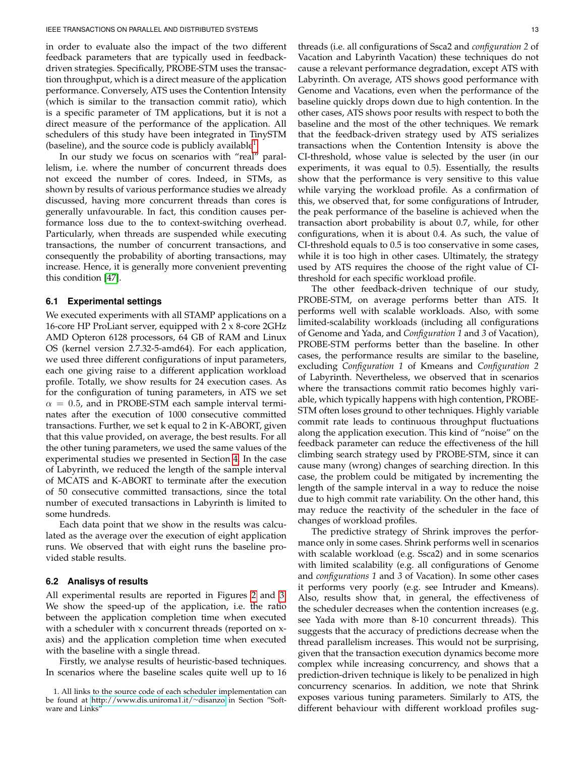in order to evaluate also the impact of the two different feedback parameters that are typically used in feedbackdriven strategies. Specifically, PROBE-STM uses the transaction throughput, which is a direct measure of the application performance. Conversely, ATS uses the Contention Intensity (which is similar to the transaction commit ratio), which is a specific parameter of TM applications, but it is not a direct measure of the performance of the application. All schedulers of this study have been integrated in TinySTM (baseline), and the source code is publicly available $^1$  $^1$ .

In our study we focus on scenarios with "real" parallelism, i.e. where the number of concurrent threads does not exceed the number of cores. Indeed, in STMs, as shown by results of various performance studies we already discussed, having more concurrent threads than cores is generally unfavourable. In fact, this condition causes performance loss due to the to context-switching overhead. Particularly, when threads are suspended while executing transactions, the number of concurrent transactions, and consequently the probability of aborting transactions, may increase. Hence, it is generally more convenient preventing this condition [\[47\]](#page-17-25).

#### **6.1 Experimental settings**

We executed experiments with all STAMP applications on a 16-core HP ProLiant server, equipped with 2 x 8-core 2GHz AMD Opteron 6128 processors, 64 GB of RAM and Linux OS (kernel version 2.7.32-5-amd64). For each application, we used three different configurations of input parameters, each one giving raise to a different application workload profile. Totally, we show results for 24 execution cases. As for the configuration of tuning parameters, in ATS we set  $\alpha = 0.5$ , and in PROBE-STM each sample interval terminates after the execution of 1000 consecutive committed transactions. Further, we set k equal to 2 in K-ABORT, given that this value provided, on average, the best results. For all the other tuning parameters, we used the same values of the experimental studies we presented in Section [4.](#page-3-0) In the case of Labyrinth, we reduced the length of the sample interval of MCATS and K-ABORT to terminate after the execution of 50 consecutive committed transactions, since the total number of executed transactions in Labyrinth is limited to some hundreds.

Each data point that we show in the results was calculated as the average over the execution of eight application runs. We observed that with eight runs the baseline provided stable results.

## **6.2 Analisys of results**

All experimental results are reported in Figures [2](#page-13-0) and [3.](#page-14-1) We show the speed-up of the application, i.e. the ratio between the application completion time when executed with a scheduler with x concurrent threads (reported on xaxis) and the application completion time when executed with the baseline with a single thread.

Firstly, we analyse results of heuristic-based techniques. In scenarios where the baseline scales quite well up to 16 threads (i.e. all configurations of Ssca2 and *configuration 2* of Vacation and Labyrinth Vacation) these techniques do not cause a relevant performance degradation, except ATS with Labyrinth. On average, ATS shows good performance with Genome and Vacations, even when the performance of the baseline quickly drops down due to high contention. In the other cases, ATS shows poor results with respect to both the baseline and the most of the other techniques. We remark that the feedback-driven strategy used by ATS serializes transactions when the Contention Intensity is above the CI-threshold, whose value is selected by the user (in our experiments, it was equal to 0.5). Essentially, the results show that the performance is very sensitive to this value while varying the workload profile. As a confirmation of this, we observed that, for some configurations of Intruder, the peak performance of the baseline is achieved when the transaction abort probability is about 0.7, while, for other configurations, when it is about 0.4. As such, the value of CI-threshold equals to 0.5 is too conservative in some cases, while it is too high in other cases. Ultimately, the strategy used by ATS requires the choose of the right value of CIthreshold for each specific workload profile.

The other feedback-driven technique of our study, PROBE-STM, on average performs better than ATS. It performs well with scalable workloads. Also, with some limited-scalability workloads (including all configurations of Genome and Yada, and *Configuration 1* and *3* of Vacation), PROBE-STM performs better than the baseline. In other cases, the performance results are similar to the baseline, excluding *Configuration 1* of Kmeans and *Configuration 2* of Labyrinth. Nevertheless, we observed that in scenarios where the transactions commit ratio becomes highly variable, which typically happens with high contention, PROBE-STM often loses ground to other techniques. Highly variable commit rate leads to continuous throughput fluctuations along the application execution. This kind of "noise" on the feedback parameter can reduce the effectiveness of the hill climbing search strategy used by PROBE-STM, since it can cause many (wrong) changes of searching direction. In this case, the problem could be mitigated by incrementing the length of the sample interval in a way to reduce the noise due to high commit rate variability. On the other hand, this may reduce the reactivity of the scheduler in the face of changes of workload profiles.

The predictive strategy of Shrink improves the performance only in some cases. Shrink performs well in scenarios with scalable workload (e.g. Ssca2) and in some scenarios with limited scalability (e.g. all configurations of Genome and *configurations 1* and *3* of Vacation). In some other cases it performs very poorly (e.g. see Intruder and Kmeans). Also, results show that, in general, the effectiveness of the scheduler decreases when the contention increases (e.g. see Yada with more than 8-10 concurrent threads). This suggests that the accuracy of predictions decrease when the thread parallelism increases. This would not be surprising, given that the transaction execution dynamics become more complex while increasing concurrency, and shows that a prediction-driven technique is likely to be penalized in high concurrency scenarios. In addition, we note that Shrink exposes various tuning parameters. Similarly to ATS, the different behaviour with different workload profiles sug-

<span id="page-12-0"></span><sup>1.</sup> All links to the source code of each scheduler implementation can be found at [http://www.dis.uniroma1.it/](http://www.dis.uniroma1.it/~disanzo)∼disanzo in Section "Software and Links"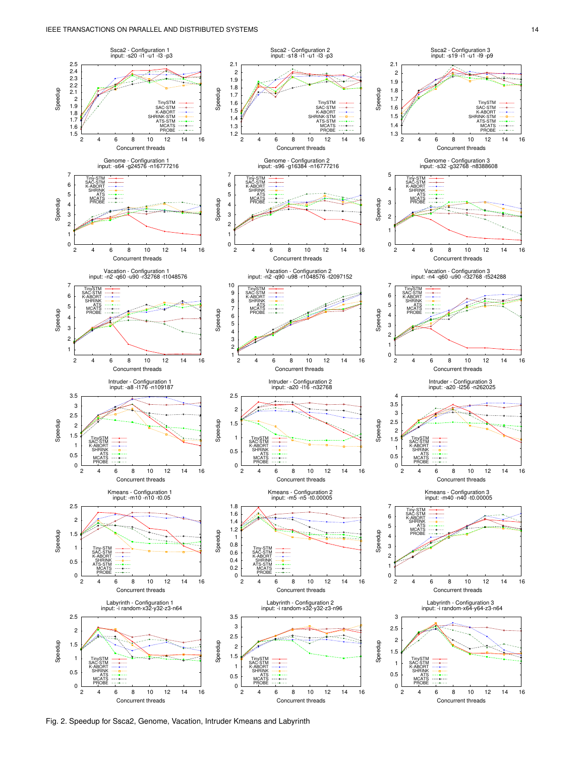

<span id="page-13-0"></span>Fig. 2. Speedup for Ssca2, Genome, Vacation, Intruder Kmeans and Labyrinth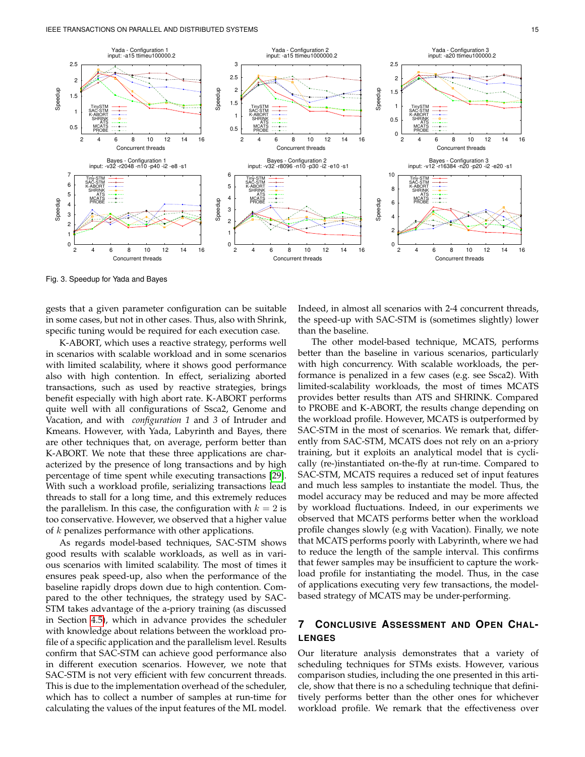

<span id="page-14-1"></span>Fig. 3. Speedup for Yada and Bayes

gests that a given parameter configuration can be suitable in some cases, but not in other cases. Thus, also with Shrink, specific tuning would be required for each execution case.

K-ABORT, which uses a reactive strategy, performs well in scenarios with scalable workload and in some scenarios with limited scalability, where it shows good performance also with high contention. In effect, serializing aborted transactions, such as used by reactive strategies, brings benefit especially with high abort rate. K-ABORT performs quite well with all configurations of Ssca2, Genome and Vacation, and with *configuration 1* and *3* of Intruder and Kmeans. However, with Yada, Labyrinth and Bayes, there are other techniques that, on average, perform better than K-ABORT. We note that these three applications are characterized by the presence of long transactions and by high percentage of time spent while executing transactions [\[29\]](#page-17-7). With such a workload profile, serializing transactions lead threads to stall for a long time, and this extremely reduces the parallelism. In this case, the configuration with  $k = 2$  is too conservative. However, we observed that a higher value of  $k$  penalizes performance with other applications.

As regards model-based techniques, SAC-STM shows good results with scalable workloads, as well as in various scenarios with limited scalability. The most of times it ensures peak speed-up, also when the performance of the baseline rapidly drops down due to high contention. Compared to the other techniques, the strategy used by SAC-STM takes advantage of the a-priory training (as discussed in Section [4.5\)](#page-8-0), which in advance provides the scheduler with knowledge about relations between the workload profile of a specific application and the parallelism level. Results confirm that SAC-STM can achieve good performance also in different execution scenarios. However, we note that SAC-STM is not very efficient with few concurrent threads. This is due to the implementation overhead of the scheduler, which has to collect a number of samples at run-time for calculating the values of the input features of the ML model.

Indeed, in almost all scenarios with 2-4 concurrent threads, the speed-up with SAC-STM is (sometimes slightly) lower than the baseline.

The other model-based technique, MCATS, performs better than the baseline in various scenarios, particularly with high concurrency. With scalable workloads, the performance is penalized in a few cases (e.g. see Ssca2). With limited-scalability workloads, the most of times MCATS provides better results than ATS and SHRINK. Compared to PROBE and K-ABORT, the results change depending on the workload profile. However, MCATS is outperformed by SAC-STM in the most of scenarios. We remark that, differently from SAC-STM, MCATS does not rely on an a-priory training, but it exploits an analytical model that is cyclically (re-)instantiated on-the-fly at run-time. Compared to SAC-STM, MCATS requires a reduced set of input features and much less samples to instantiate the model. Thus, the model accuracy may be reduced and may be more affected by workload fluctuations. Indeed, in our experiments we observed that MCATS performs better when the workload profile changes slowly (e.g with Vacation). Finally, we note that MCATS performs poorly with Labyrinth, where we had to reduce the length of the sample interval. This confirms that fewer samples may be insufficient to capture the workload profile for instantiating the model. Thus, in the case of applications executing very few transactions, the modelbased strategy of MCATS may be under-performing.

# <span id="page-14-0"></span>**7 CONCLUSIVE ASSESSMENT AND OPEN CHAL-LENGES**

Our literature analysis demonstrates that a variety of scheduling techniques for STMs exists. However, various comparison studies, including the one presented in this article, show that there is no a scheduling technique that definitively performs better than the other ones for whichever workload profile. We remark that the effectiveness over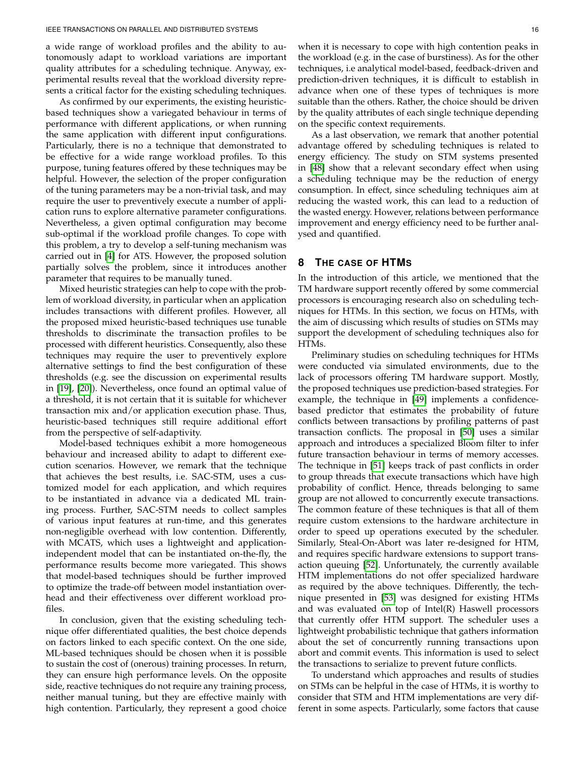a wide range of workload profiles and the ability to autonomously adapt to workload variations are important quality attributes for a scheduling technique. Anyway, experimental results reveal that the workload diversity represents a critical factor for the existing scheduling techniques.

As confirmed by our experiments, the existing heuristicbased techniques show a variegated behaviour in terms of performance with different applications, or when running the same application with different input configurations. Particularly, there is no a technique that demonstrated to be effective for a wide range workload profiles. To this purpose, tuning features offered by these techniques may be helpful. However, the selection of the proper configuration of the tuning parameters may be a non-trivial task, and may require the user to preventively execute a number of application runs to explore alternative parameter configurations. Nevertheless, a given optimal configuration may become sub-optimal if the workload profile changes. To cope with this problem, a try to develop a self-tuning mechanism was carried out in [\[4\]](#page-16-3) for ATS. However, the proposed solution partially solves the problem, since it introduces another parameter that requires to be manually tuned.

Mixed heuristic strategies can help to cope with the problem of workload diversity, in particular when an application includes transactions with different profiles. However, all the proposed mixed heuristic-based techniques use tunable thresholds to discriminate the transaction profiles to be processed with different heuristics. Consequently, also these techniques may require the user to preventively explore alternative settings to find the best configuration of these thresholds (e.g. see the discussion on experimental results in [\[19\]](#page-16-18), [\[20\]](#page-16-19)). Nevertheless, once found an optimal value of a threshold, it is not certain that it is suitable for whichever transaction mix and/or application execution phase. Thus, heuristic-based techniques still require additional effort from the perspective of self-adaptivity.

Model-based techniques exhibit a more homogeneous behaviour and increased ability to adapt to different execution scenarios. However, we remark that the technique that achieves the best results, i.e. SAC-STM, uses a customized model for each application, and which requires to be instantiated in advance via a dedicated ML training process. Further, SAC-STM needs to collect samples of various input features at run-time, and this generates non-negligible overhead with low contention. Differently, with MCATS, which uses a lightweight and applicationindependent model that can be instantiated on-the-fly, the performance results become more variegated. This shows that model-based techniques should be further improved to optimize the trade-off between model instantiation overhead and their effectiveness over different workload profiles.

In conclusion, given that the existing scheduling technique offer differentiated qualities, the best choice depends on factors linked to each specific context. On the one side, ML-based techniques should be chosen when it is possible to sustain the cost of (onerous) training processes. In return, they can ensure high performance levels. On the opposite side, reactive techniques do not require any training process, neither manual tuning, but they are effective mainly with high contention. Particularly, they represent a good choice

when it is necessary to cope with high contention peaks in the workload (e.g. in the case of burstiness). As for the other techniques, i.e analytical model-based, feedback-driven and prediction-driven techniques, it is difficult to establish in advance when one of these types of techniques is more suitable than the others. Rather, the choice should be driven by the quality attributes of each single technique depending on the specific context requirements.

As a last observation, we remark that another potential advantage offered by scheduling techniques is related to energy efficiency. The study on STM systems presented in [\[48\]](#page-17-26) show that a relevant secondary effect when using a scheduling technique may be the reduction of energy consumption. In effect, since scheduling techniques aim at reducing the wasted work, this can lead to a reduction of the wasted energy. However, relations between performance improvement and energy efficiency need to be further analysed and quantified.

# <span id="page-15-0"></span>**8 THE CASE OF HTMS**

In the introduction of this article, we mentioned that the TM hardware support recently offered by some commercial processors is encouraging research also on scheduling techniques for HTMs. In this section, we focus on HTMs, with the aim of discussing which results of studies on STMs may support the development of scheduling techniques also for HTMs.

Preliminary studies on scheduling techniques for HTMs were conducted via simulated environments, due to the lack of processors offering TM hardware support. Mostly, the proposed techniques use prediction-based strategies. For example, the technique in [\[49\]](#page-17-27) implements a confidencebased predictor that estimates the probability of future conflicts between transactions by profiling patterns of past transaction conflicts. The proposal in [\[50\]](#page-17-28) uses a similar approach and introduces a specialized Bloom filter to infer future transaction behaviour in terms of memory accesses. The technique in [\[51\]](#page-17-29) keeps track of past conflicts in order to group threads that execute transactions which have high probability of conflict. Hence, threads belonging to same group are not allowed to concurrently execute transactions. The common feature of these techniques is that all of them require custom extensions to the hardware architecture in order to speed up operations executed by the scheduler. Similarly, Steal-On-Abort was later re-designed for HTM, and requires specific hardware extensions to support transaction queuing [\[52\]](#page-17-30). Unfortunately, the currently available HTM implementations do not offer specialized hardware as required by the above techniques. Differently, the technique presented in [\[53\]](#page-17-31) was designed for existing HTMs and was evaluated on top of Intel(R) Haswell processors that currently offer HTM support. The scheduler uses a lightweight probabilistic technique that gathers information about the set of concurrently running transactions upon abort and commit events. This information is used to select the transactions to serialize to prevent future conflicts.

To understand which approaches and results of studies on STMs can be helpful in the case of HTMs, it is worthy to consider that STM and HTM implementations are very different in some aspects. Particularly, some factors that cause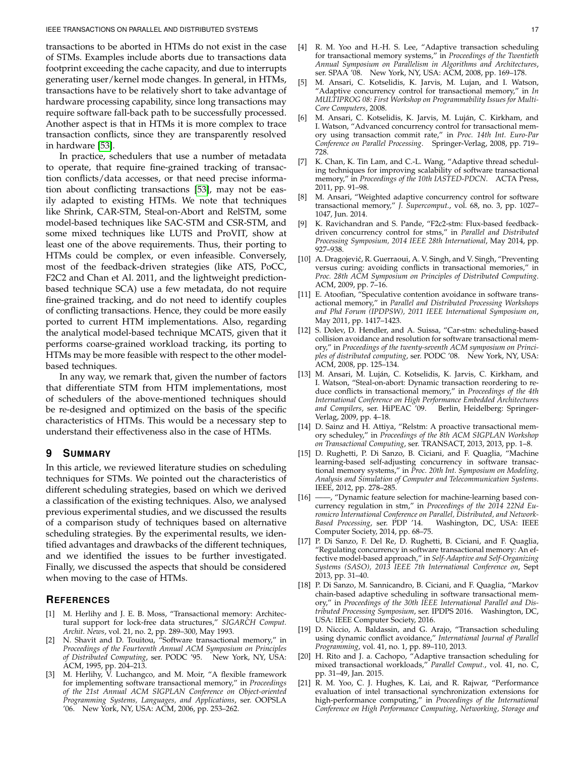transactions to be aborted in HTMs do not exist in the case of STMs. Examples include aborts due to transactions data footprint exceeding the cache capacity, and due to interrupts generating user/kernel mode changes. In general, in HTMs, transactions have to be relatively short to take advantage of hardware processing capability, since long transactions may require software fall-back path to be successfully processed. Another aspect is that in HTMs it is more complex to trace transaction conflicts, since they are transparently resolved in hardware [\[53\]](#page-17-31).

In practice, schedulers that use a number of metadata to operate, that require fine-grained tracking of transaction conflicts/data accesses, or that need precise information about conflicting transactions [\[53\]](#page-17-31), may not be easily adapted to existing HTMs. We note that techniques like Shrink, CAR-STM, Steal-on-Abort and RelSTM, some model-based techniques like SAC-STM and CSR-STM, and some mixed techniques like LUTS and ProVIT, show at least one of the above requirements. Thus, their porting to HTMs could be complex, or even infeasible. Conversely, most of the feedback-driven strategies (like ATS, PoCC, F2C2 and Chan et Al. 2011, and the lightweight predictionbased technique SCA) use a few metadata, do not require fine-grained tracking, and do not need to identify couples of conflicting transactions. Hence, they could be more easily ported to current HTM implementations. Also, regarding the analytical model-based technique MCATS, given that it performs coarse-grained workload tracking, its porting to HTMs may be more feasible with respect to the other modelbased techniques.

In any way, we remark that, given the number of factors that differentiate STM from HTM implementations, most of schedulers of the above-mentioned techniques should be re-designed and optimized on the basis of the specific characteristics of HTMs. This would be a necessary step to understand their effectiveness also in the case of HTMs.

# **9 SUMMARY**

In this article, we reviewed literature studies on scheduling techniques for STMs. We pointed out the characteristics of different scheduling strategies, based on which we derived a classification of the existing techniques. Also, we analysed previous experimental studies, and we discussed the results of a comparison study of techniques based on alternative scheduling strategies. By the experimental results, we identified advantages and drawbacks of the different techniques, and we identified the issues to be further investigated. Finally, we discussed the aspects that should be considered when moving to the case of HTMs.

# **REFERENCES**

- <span id="page-16-0"></span>[1] M. Herlihy and J. E. B. Moss, "Transactional memory: Architectural support for lock-free data structures," *SIGARCH Comput. Archit. News*, vol. 21, no. 2, pp. 289–300, May 1993.
- <span id="page-16-1"></span>[2] N. Shavit and D. Touitou, "Software transactional memory," in *Proceedings of the Fourteenth Annual ACM Symposium on Principles of Distributed Computing*, ser. PODC '95. New York, NY, USA: ACM, 1995, pp. 204–213.
- <span id="page-16-2"></span>[3] M. Herlihy, V. Luchangco, and M. Moir, "A flexible framework for implementing software transactional memory," in *Proceedings of the 21st Annual ACM SIGPLAN Conference on Object-oriented Programming Systems, Languages, and Applications*, ser. OOPSLA '06. New York, NY, USA: ACM, 2006, pp. 253–262.
- <span id="page-16-3"></span>[4] R. M. Yoo and H.-H. S. Lee, "Adaptive transaction scheduling for transactional memory systems," in *Proceedings of the Twentieth Annual Symposium on Parallelism in Algorithms and Architectures*, ser. SPAA '08. New York, NY, USA: ACM, 2008, pp. 169–178.
- <span id="page-16-4"></span>[5] M. Ansari, C. Kotselidis, K. Jarvis, M. Lujan, and I. Watson, "Adaptive concurrency control for transactional memory," in *In MULTIPROG 08: First Workshop on Programmability Issues for Multi-Core Computers*, 2008.
- <span id="page-16-5"></span>M. Ansari, C. Kotselidis, K. Jarvis, M. Luján, C. Kirkham, and I. Watson, "Advanced concurrency control for transactional memory using transaction commit rate," in *Proc. 14th Int. Euro-Par Conference on Parallel Processing*. Springer-Verlag, 2008, pp. 719– 728.
- <span id="page-16-6"></span>[7] K. Chan, K. Tin Lam, and C.-L. Wang, "Adaptive thread scheduling techniques for improving scalability of software transactional memory," in *Proceedings of the 10th IASTED-PDCN*. ACTA Press, 2011, pp. 91–98.
- <span id="page-16-7"></span>[8] M. Ansari, "Weighted adaptive concurrency control for software transactional memory," *J. Supercomput.*, vol. 68, no. 3, pp. 1027– 1047, Jun. 2014.
- <span id="page-16-8"></span>[9] K. Ravichandran and S. Pande, "F2c2-stm: Flux-based feedbackdriven concurrency control for stms," in *Parallel and Distributed Processing Symposium, 2014 IEEE 28th International*, May 2014, pp. 927–938.
- <span id="page-16-9"></span>[10] A. Dragojević, R. Guerraoui, A. V. Singh, and V. Singh, "Preventing versus curing: avoiding conflicts in transactional memories," in *Proc. 28th ACM Symposium on Principles of Distributed Computing*. ACM, 2009, pp. 7–16.
- <span id="page-16-10"></span>[11] E. Atoofian, "Speculative contention avoidance in software transactional memory," in *Parallel and Distributed Processing Workshops and Phd Forum (IPDPSW), 2011 IEEE International Symposium on*, May 2011, pp. 1417–1423.
- <span id="page-16-11"></span>[12] S. Dolev, D. Hendler, and A. Suissa, "Car-stm: scheduling-based collision avoidance and resolution for software transactional memory," in *Proceedings of the twenty-seventh ACM symposium on Principles of distributed computing*, ser. PODC '08. New York, NY, USA: ACM, 2008, pp. 125–134.
- <span id="page-16-12"></span>[13] M. Ansari, M. Luján, C. Kotselidis, K. Jarvis, C. Kirkham, and I. Watson, "Steal-on-abort: Dynamic transaction reordering to reduce conflicts in transactional memory," in *Proceedings of the 4th International Conference on High Performance Embedded Architectures* and Compilers, ser. HiPEAC<sup>7</sup>09. Berlin, Heidelberg: Springer-Verlag, 2009, pp. 4–18.
- <span id="page-16-13"></span>[14] D. Sainz and H. Attiya, "Relstm: A proactive transactional memory scheduley," in *Proceedings of the 8th ACM SIGPLAN Workshop on Transactional Computing*, ser. TRANSACT, 2013, 2013, pp. 1–8.
- <span id="page-16-14"></span>[15] D. Rughetti, P. Di Sanzo, B. Ciciani, and F. Quaglia, "Machine learning-based self-adjusting concurrency in software transactional memory systems," in *Proc. 20th Int. Symposium on Modeling, Analysis and Simulation of Computer and Telecommunication Systems*. IEEE, 2012, pp. 278–285.
- <span id="page-16-15"></span>[16] ——, "Dynamic feature selection for machine-learning based concurrency regulation in stm," in *Proceedings of the 2014 22Nd Euromicro International Conference on Parallel, Distributed, and Network-*Based Processing, ser. PDP '14. Computer Society, 2014, pp. 68–75.
- <span id="page-16-16"></span>[17] P. Di Sanzo, F. Del Re, D. Rughetti, B. Ciciani, and F. Quaglia, "Regulating concurrency in software transactional memory: An effective model-based approach," in *Self-Adaptive and Self-Organizing Systems (SASO), 2013 IEEE 7th International Conference on*, Sept 2013, pp. 31–40.
- <span id="page-16-17"></span>[18] P. Di Sanzo, M. Sannicandro, B. Ciciani, and F. Quaglia, "Markov chain-based adaptive scheduling in software transactional memory," in *Proceedings of the 30th IEEE International Parallel and Distributed Processing Symposium*, ser. IPDPS 2016. Washington, DC, USA: IEEE Computer Society, 2016.
- <span id="page-16-18"></span>[19] D. Niccio, A. Baldassin, and G. Arajo, "Transaction scheduling using dynamic conflict avoidance," *International Journal of Parallel Programming*, vol. 41, no. 1, pp. 89–110, 2013.
- <span id="page-16-19"></span>[20] H. Rito and J. a. Cachopo, "Adaptive transaction scheduling for mixed transactional workloads," *Parallel Comput.*, vol. 41, no. C, pp. 31–49, Jan. 2015.
- <span id="page-16-20"></span>[21] R. M. Yoo, C. J. Hughes, K. Lai, and R. Rajwar, "Performance evaluation of intel transactional synchronization extensions for high-performance computing," in *Proceedings of the International Conference on High Performance Computing, Networking, Storage and*